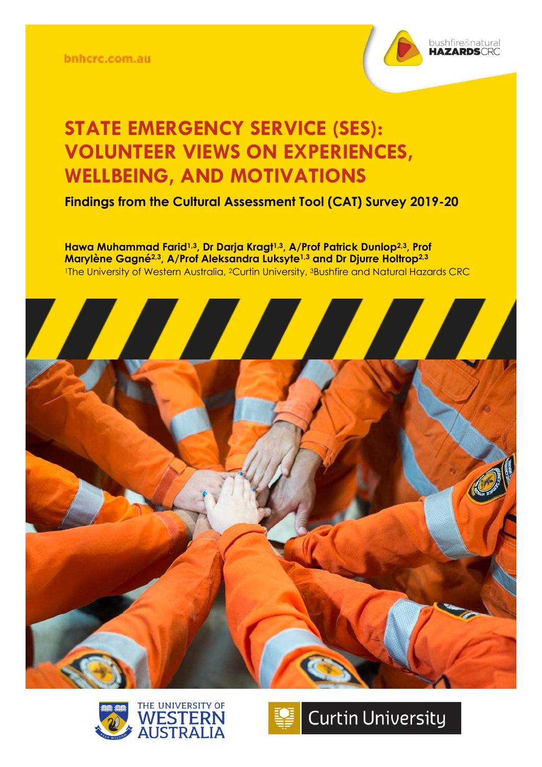bnhcrc.com.au



## **STATE EMERGENCY SERVICE (SES): VOLUNTEER VIEWS ON EXPERIENCES, WELLBEING, AND MOTIVATIONS**

**Findings from the Cultural Assessment Tool (CAT) Survey 2019-20**

**Hawa Muhammad Farid1,3, Dr Darja Kragt1,3, A/Prof Patrick Dunlop2,3, Prof Marylène Gagné2,3, A/Prof Aleksandra Luksyte1,3 and Dr Djurre Holtrop2,3** <sup>1</sup>The University of Western Australia, <sup>2</sup>Curtin University, <sup>3</sup>Bushfire and Natural Hazards CRC





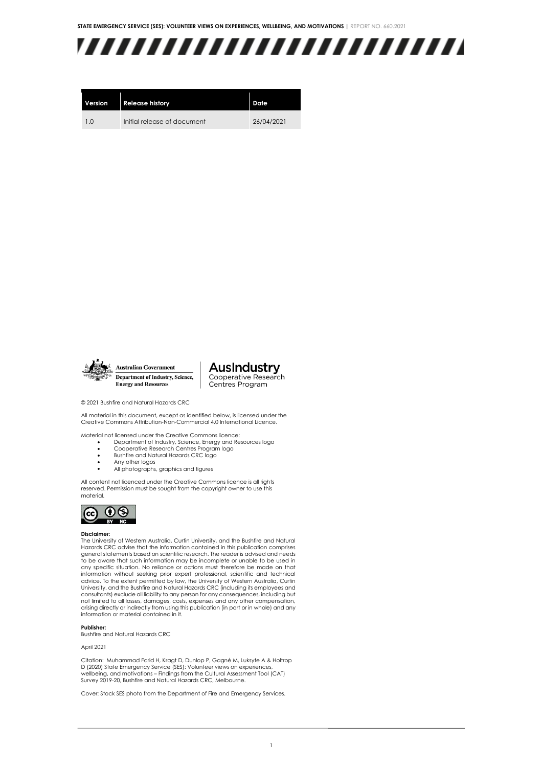

| Version | <b>Release history</b>      | Date       |
|---------|-----------------------------|------------|
| 10      | Initial release of document | 26/04/2021 |



**Australian Government** Department of Industry, Science, **Energy and Resources** 

**AusIndustry** Cooperative Research Centres Program

© 2021 Bushfire and Natural Hazards CRC

All material in this document, except as identified below, is licensed under the Creative Commons Attribution-Non-Commercial 4.0 International Licence.

Material not licensed under the Creative Commons licence:

- Department of Industry, Science, Energy and Resources logo • Cooperative Research Centres Program logo
- Bushfire and Natural Hazards CRC logo
- Any other logos
- All photographs, graphics and figures

All content not licenced under the Creative Commons licence is all rights reserved. Permission must be sought from the copyright owner to use this material.



#### **Disclaimer:**

The University of Western Australia, Curtin University, and the Bushfire and Natural Hazards CRC advise that the information contained in this publication comprises general statements based on scientific research. The reader is advised and needs to be aware that such information may be incomplete or unable to be used in any specific situation. No reliance or actions must therefore be made on that information without seeking prior expert professional, scientific and technical advice. To the extent permitted by law, the University of Western Australia, Curtin University, and the Bushfire and Natural Hazards CRC (including its employees and consultants) exclude all liability to any person for any consequences, including but not limited to all losses, damages, costs, expenses and any other compensation, arising directly or indirectly from using this publication (in part or in whole) and any information or material contained in it.

#### **Publisher:**

Bushfire and Natural Hazards CRC

#### April 2021

Citation: Muhammad Farid H, Kragt D, Dunlop P, Gagné M, Luksyte A & Holtrop D (2020) State Emergency Service (SES): Volunteer views on experiences, wellbeing, and motivations – Findings from the Cultural Assessment Tool (CAT) Survey 2019-20, Bushfire and Natural Hazards CRC, Melbourne.

Cover: Stock SES photo from the Department of Fire and Emergency Services.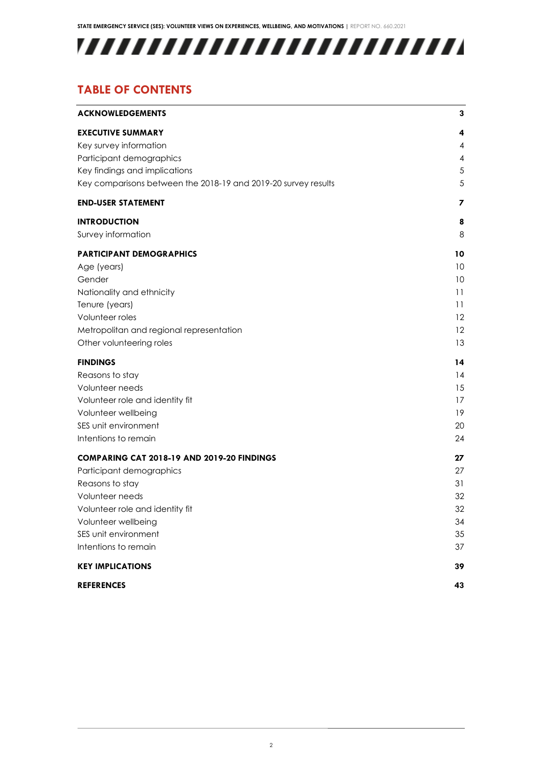## 

## **TABLE OF CONTENTS**

| <b>ACKNOWLEDGEMENTS</b>                                        | 3             |
|----------------------------------------------------------------|---------------|
| <b>EXECUTIVE SUMMARY</b>                                       | 4             |
| Key survey information                                         | 4             |
| Participant demographics                                       | 4             |
| Key findings and implications                                  | $\mathfrak s$ |
| Key comparisons between the 2018-19 and 2019-20 survey results | 5             |
| <b>END-USER STATEMENT</b>                                      | 7             |
| <b>INTRODUCTION</b>                                            | 8             |
| Survey information                                             | 8             |
| <b>PARTICIPANT DEMOGRAPHICS</b>                                | 10            |
| Age (years)                                                    | 10            |
| Gender                                                         | 10            |
| Nationality and ethnicity                                      | 11            |
| Tenure (years)                                                 | 11            |
| Volunteer roles                                                | 12            |
| Metropolitan and regional representation                       | 12            |
| Other volunteering roles                                       | 13            |
| <b>FINDINGS</b>                                                | 14            |
| Reasons to stay                                                | 14            |
| Volunteer needs                                                | 15            |
| Volunteer role and identity fit                                | 17            |
| Volunteer wellbeing                                            | 19            |
| SES unit environment                                           | 20            |
| Intentions to remain                                           | 24            |
| COMPARING CAT 2018-19 AND 2019-20 FINDINGS                     | 27            |
| Participant demographics                                       | 27            |
| Reasons to stay                                                | 31            |
| Volunteer needs                                                | 32            |
| Volunteer role and identity fit                                | 32            |
| Volunteer wellbeing                                            | 34            |
| SES unit environment                                           | 35            |
| Intentions to remain                                           | 37            |
| <b>KEY IMPLICATIONS</b>                                        | 39            |
| <b>REFERENCES</b>                                              | 43            |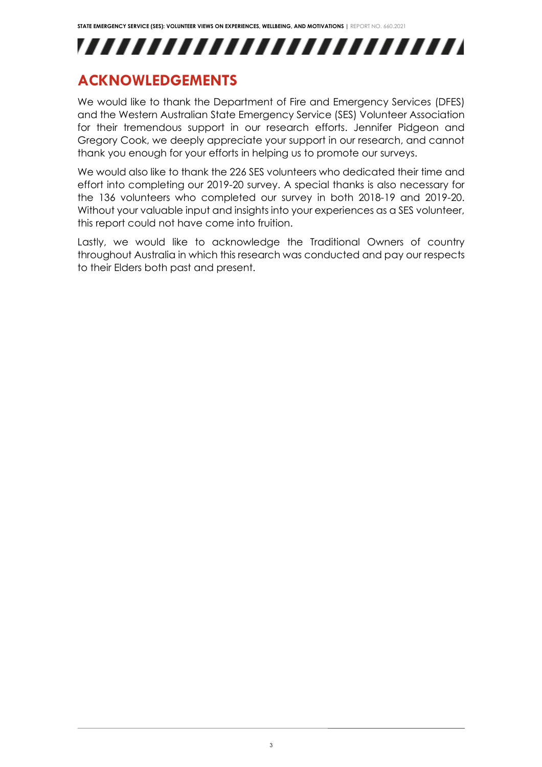

## <span id="page-3-0"></span>**ACKNOWLEDGEMENTS**

We would like to thank the Department of Fire and Emergency Services (DFES) and the Western Australian State Emergency Service (SES) Volunteer Association for their tremendous support in our research efforts. Jennifer Pidgeon and Gregory Cook, we deeply appreciate your support in our research, and cannot thank you enough for your efforts in helping us to promote our surveys.

We would also like to thank the 226 SES volunteers who dedicated their time and effort into completing our 2019-20 survey. A special thanks is also necessary for the 136 volunteers who completed our survey in both 2018-19 and 2019-20. Without your valuable input and insights into your experiences as a SES volunteer, this report could not have come into fruition.

Lastly, we would like to acknowledge the Traditional Owners of country throughout Australia in which this research was conducted and pay our respects to their Elders both past and present.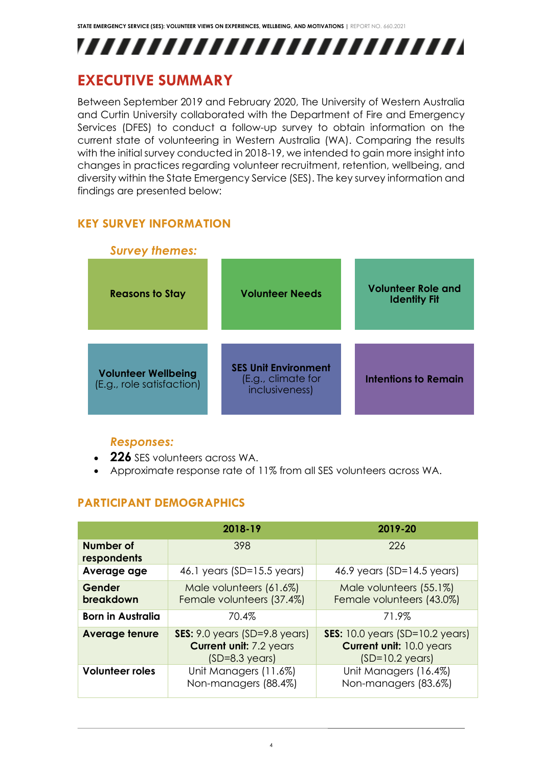

## <span id="page-4-0"></span>**EXECUTIVE SUMMARY**

Between September 2019 and February 2020, The University of Western Australia and Curtin University collaborated with the Department of Fire and Emergency Services (DFES) to conduct a follow-up survey to obtain information on the current state of volunteering in Western Australia (WA). Comparing the results with the initial survey conducted in 2018-19, we intended to gain more insight into changes in practices regarding volunteer recruitment, retention, wellbeing, and diversity within the State Emergency Service (SES). The key survey information and findings are presented below:

## <span id="page-4-1"></span>**KEY SURVEY INFORMATION**



### *Responses:*

- **226** SES volunteers across WA.
- Approximate response rate of 11% from all SES volunteers across WA.

## <span id="page-4-2"></span>**PARTICIPANT DEMOGRAPHICS**

|                          | 2018-19                                                                                                 | 2019-20                                                                                                |
|--------------------------|---------------------------------------------------------------------------------------------------------|--------------------------------------------------------------------------------------------------------|
| Number of<br>respondents | 398                                                                                                     | 226                                                                                                    |
| Average age              | 46.1 years (SD= $15.5$ years)                                                                           | 46.9 years $(SD=14.5$ years)                                                                           |
| Gender<br>breakdown      | Male volunteers (61.6%)<br>Female volunteers (37.4%)                                                    | Male volunteers (55.1%)<br>Female volunteers (43.0%)                                                   |
| <b>Born in Australia</b> | 70.4%                                                                                                   | 71.9%                                                                                                  |
| <b>Average tenure</b>    | <b>SES:</b> $9.0$ years (SD= $9.8$ years)<br><b>Current unit: 7.2 years</b><br>$(SD=8.3 \text{ years})$ | <b>SES:</b> 10.0 years (SD=10.2 years)<br><b>Current unit: 10.0 years</b><br>$(SD=10.2 \text{ years})$ |
| <b>Volunteer roles</b>   | Unit Managers (11.6%)<br>Non-managers (88.4%)                                                           | Unit Managers (16.4%)<br>Non-managers (83.6%)                                                          |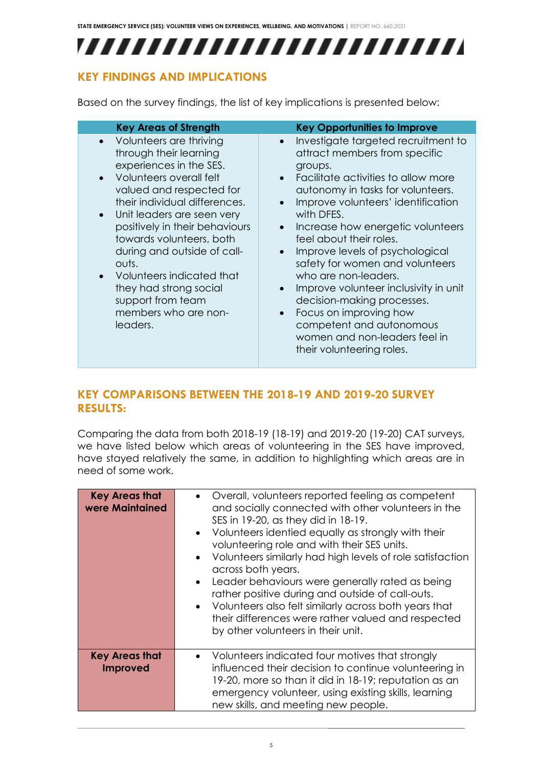,,,,,,,,,,,,,,,,,,,,,,,,,

### <span id="page-5-0"></span>**KEY FINDINGS AND IMPLICATIONS**

Based on the survey findings, the list of key implications is presented below:

| <b>Key Areas of Strength</b>                                                                                                                                                                                                                                                                                                                                                                                             | <b>Key Opportunities to Improve</b>                                                                                                                                                                                                                                                                                                                                                                                                                                                                                                                                                                                                                    |
|--------------------------------------------------------------------------------------------------------------------------------------------------------------------------------------------------------------------------------------------------------------------------------------------------------------------------------------------------------------------------------------------------------------------------|--------------------------------------------------------------------------------------------------------------------------------------------------------------------------------------------------------------------------------------------------------------------------------------------------------------------------------------------------------------------------------------------------------------------------------------------------------------------------------------------------------------------------------------------------------------------------------------------------------------------------------------------------------|
| Volunteers are thriving<br>through their learning<br>experiences in the SES.<br>Volunteers overall felt<br>valued and respected for<br>their individual differences.<br>Unit leaders are seen very<br>positively in their behaviours<br>towards volunteers, both<br>during and outside of call-<br>outs.<br>Volunteers indicated that<br>they had strong social<br>support from team<br>members who are non-<br>leaders. | Investigate targeted recruitment to<br>$\bullet$<br>attract members from specific<br>groups.<br>Facilitate activities to allow more<br>$\bullet$<br>autonomy in tasks for volunteers.<br>Improve volunteers' identification<br>with DFES.<br>Increase how energetic volunteers<br>$\bullet$<br>feel about their roles.<br>Improve levels of psychological<br>$\bullet$<br>safety for women and volunteers<br>who are non-leaders.<br>Improve volunteer inclusivity in unit<br>$\bullet$<br>decision-making processes.<br>Focus on improving how<br>$\bullet$<br>competent and autonomous<br>women and non-leaders feel in<br>their volunteering roles. |

### <span id="page-5-1"></span>**KEY COMPARISONS BETWEEN THE 2018-19 AND 2019-20 SURVEY RESULTS:**

Comparing the data from both 2018-19 (18-19) and 2019-20 (19-20) CAT surveys, we have listed below which areas of volunteering in the SES have improved, have stayed relatively the same, in addition to highlighting which areas are in need of some work.

| <b>Key Areas that</b><br>were Maintained | • Overall, volunteers reported feeling as competent<br>and socially connected with other volunteers in the<br>SES in 19-20, as they did in 18-19.<br>• Volunteers identied equally as strongly with their<br>volunteering role and with their SES units.<br>• Volunteers similarly had high levels of role satisfaction<br>across both years.<br>Leader behaviours were generally rated as being<br>rather positive during and outside of call-outs.<br>• Volunteers also felt similarly across both years that<br>their differences were rather valued and respected<br>by other volunteers in their unit. |
|------------------------------------------|-------------------------------------------------------------------------------------------------------------------------------------------------------------------------------------------------------------------------------------------------------------------------------------------------------------------------------------------------------------------------------------------------------------------------------------------------------------------------------------------------------------------------------------------------------------------------------------------------------------|
| <b>Key Areas that</b><br><b>Improved</b> | • Volunteers indicated four motives that strongly<br>influenced their decision to continue volunteering in<br>19-20, more so than it did in 18-19; reputation as an<br>emergency volunteer, using existing skills, learning<br>new skills, and meeting new people.                                                                                                                                                                                                                                                                                                                                          |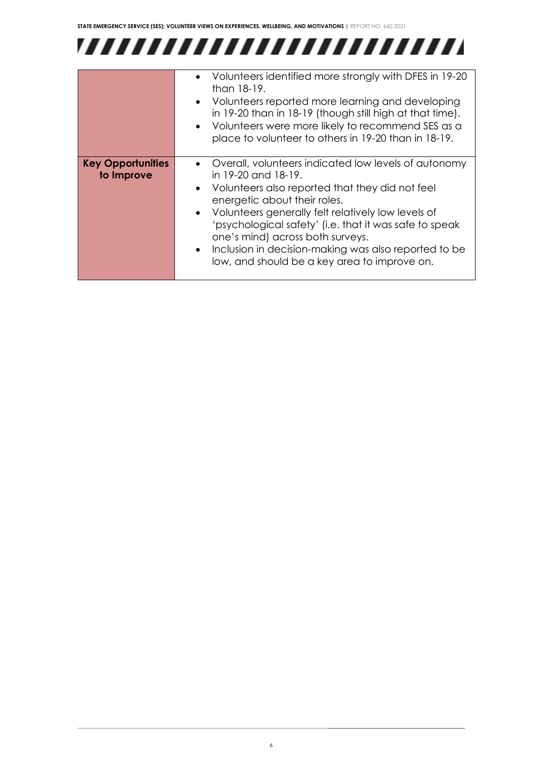## 

|                                        | • Volunteers identified more strongly with DFES in 19-20<br>than 18-19.<br>• Volunteers reported more learning and developing<br>in 19-20 than in 18-19 (though still high at that time).<br>• Volunteers were more likely to recommend SES as a                                                                                                                                                                                   |
|----------------------------------------|------------------------------------------------------------------------------------------------------------------------------------------------------------------------------------------------------------------------------------------------------------------------------------------------------------------------------------------------------------------------------------------------------------------------------------|
|                                        | place to volunteer to others in 19-20 than in 18-19.                                                                                                                                                                                                                                                                                                                                                                               |
| <b>Key Opportunities</b><br>to Improve | • Overall, volunteers indicated low levels of autonomy<br>in 19-20 and 18-19.<br>• Volunteers also reported that they did not feel<br>energetic about their roles.<br>• Volunteers generally felt relatively low levels of<br>'psychological safety' (i.e. that it was safe to speak<br>one's mind) across both surveys.<br>• Inclusion in decision-making was also reported to be<br>low, and should be a key area to improve on. |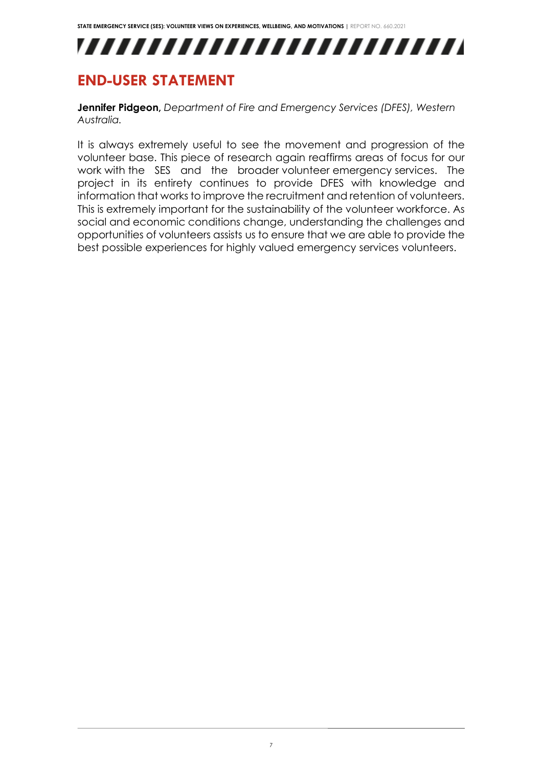,,,,,,,,,,,,,,,,,,,,,,,,,,

## <span id="page-7-0"></span>**END-USER STATEMENT**

**Jennifer Pidgeon,** *Department of Fire and Emergency Services (DFES), Western Australia.*

It is always extremely useful to see the movement and progression of the volunteer base. This piece of research again reaffirms areas of focus for our work with the SES and the broader volunteer emergency services. The project in its entirety continues to provide DFES with knowledge and information that works to improve the recruitment and retention of volunteers. This is extremely important for the sustainability of the volunteer workforce. As social and economic conditions change, understanding the challenges and opportunities of volunteers assists us to ensure that we are able to provide the best possible experiences for highly valued emergency services volunteers.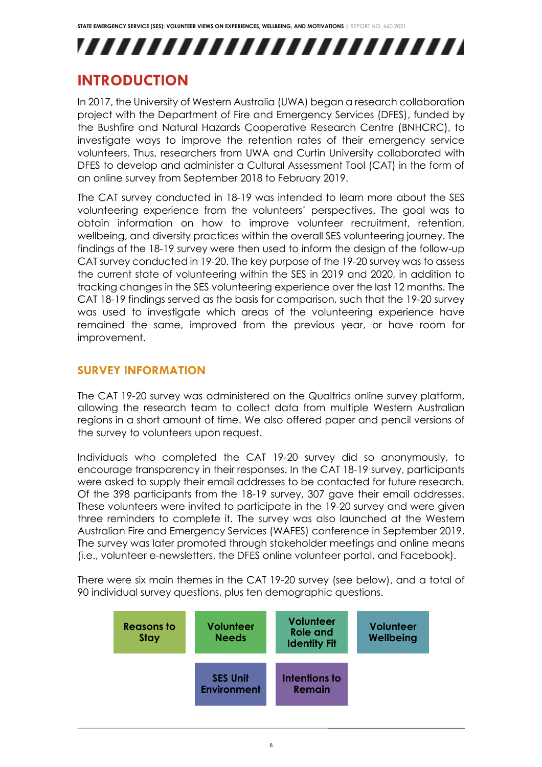## ,,,,,,,,,,,,,,,,,,,,,,,,,,

## <span id="page-8-0"></span>**INTRODUCTION**

In 2017, the University of Western Australia (UWA) began a research collaboration project with the Department of Fire and Emergency Services (DFES), funded by the Bushfire and Natural Hazards Cooperative Research Centre (BNHCRC), to investigate ways to improve the retention rates of their emergency service volunteers. Thus, researchers from UWA and Curtin University collaborated with DFES to develop and administer a Cultural Assessment Tool (CAT) in the form of an online survey from September 2018 to February 2019.

The CAT survey conducted in 18-19 was intended to learn more about the SES volunteering experience from the volunteers' perspectives. The goal was to obtain information on how to improve volunteer recruitment, retention, wellbeing, and diversity practices within the overall SES volunteering journey. The findings of the 18-19 survey were then used to inform the design of the follow-up CAT survey conducted in 19-20. The key purpose of the 19-20 survey was to assess the current state of volunteering within the SES in 2019 and 2020, in addition to tracking changes in the SES volunteering experience over the last 12 months. The CAT 18-19 findings served as the basis for comparison, such that the 19-20 survey was used to investigate which areas of the volunteering experience have remained the same, improved from the previous year, or have room for improvement.

## <span id="page-8-1"></span>**SURVEY INFORMATION**

The CAT 19-20 survey was administered on the Qualtrics online survey platform, allowing the research team to collect data from multiple Western Australian regions in a short amount of time. We also offered paper and pencil versions of the survey to volunteers upon request.

Individuals who completed the CAT 19-20 survey did so anonymously, to encourage transparency in their responses. In the CAT 18-19 survey, participants were asked to supply their email addresses to be contacted for future research. Of the 398 participants from the 18-19 survey, 307 gave their email addresses. These volunteers were invited to participate in the 19-20 survey and were given three reminders to complete it. The survey was also launched at the Western Australian Fire and Emergency Services (WAFES) conference in September 2019. The survey was later promoted through stakeholder meetings and online means (i.e., volunteer e-newsletters, the DFES online volunteer portal, and Facebook).

There were six main themes in the CAT 19-20 survey (see below), and a total of 90 individual survey questions, plus ten demographic questions.

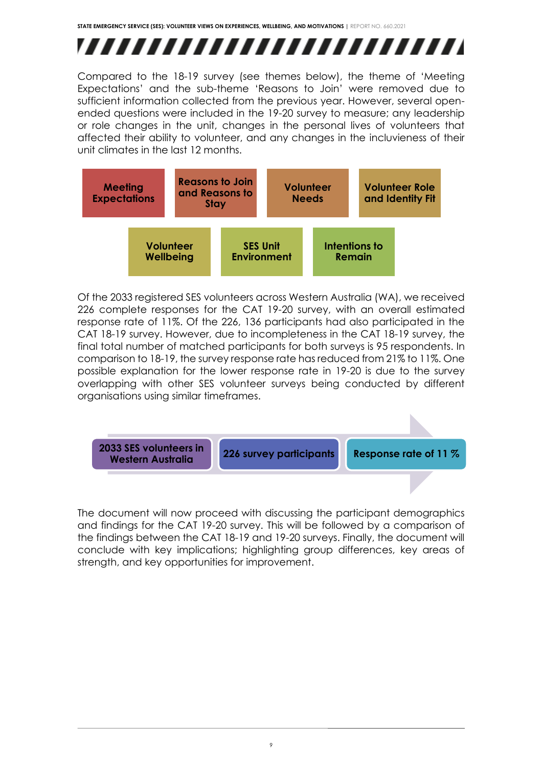# ,,,,,,,,,,,,,,,,,,,,,,,,,

Compared to the 18-19 survey (see themes below), the theme of 'Meeting Expectations' and the sub-theme 'Reasons to Join' were removed due to sufficient information collected from the previous year. However, several openended questions were included in the 19-20 survey to measure; any leadership or role changes in the unit, changes in the personal lives of volunteers that affected their ability to volunteer, and any changes in the incluvieness of their unit climates in the last 12 months.



Of the 2033 registered SES volunteers across Western Australia (WA), we received 226 complete responses for the CAT 19-20 survey, with an overall estimated response rate of 11%. Of the 226, 136 participants had also participated in the CAT 18-19 survey. However, due to incompleteness in the CAT 18-19 survey, the final total number of matched participants for both surveys is 95 respondents. In comparison to 18-19, the survey response rate has reduced from 21% to 11%. One possible explanation for the lower response rate in 19-20 is due to the survey overlapping with other SES volunteer surveys being conducted by different organisations using similar timeframes.



The document will now proceed with discussing the participant demographics and findings for the CAT 19-20 survey. This will be followed by a comparison of the findings between the CAT 18-19 and 19-20 surveys. Finally, the document will conclude with key implications; highlighting group differences, key areas of strength, and key opportunities for improvement.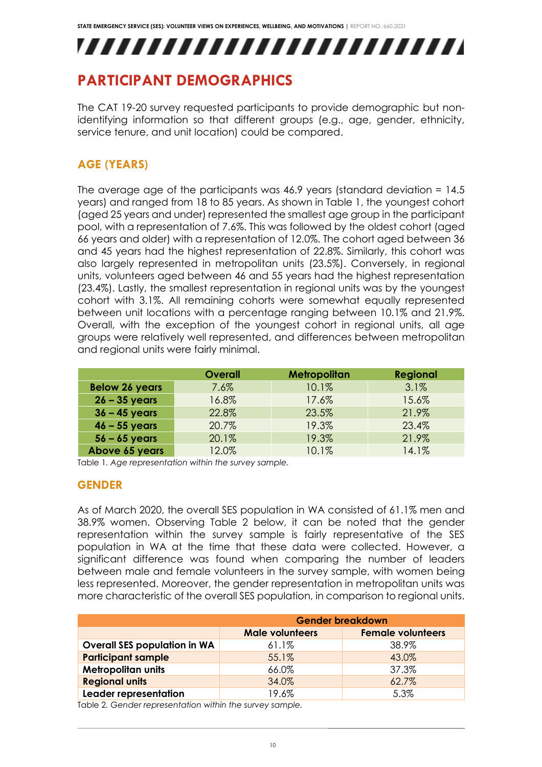,,,,,,,,,,,,,,,,,,,,,,,,,,

## <span id="page-10-0"></span>**PARTICIPANT DEMOGRAPHICS**

The CAT 19-20 survey requested participants to provide demographic but nonidentifying information so that different groups (e.g., age, gender, ethnicity, service tenure, and unit location) could be compared.

## <span id="page-10-1"></span>**AGE (YEARS)**

The average age of the participants was 46.9 years (standard deviation = 14.5 years) and ranged from 18 to 85 years. As shown in Table 1, the youngest cohort (aged 25 years and under) represented the smallest age group in the participant pool, with a representation of 7.6%. This was followed by the oldest cohort (aged 66 years and older) with a representation of 12.0%. The cohort aged between 36 and 45 years had the highest representation of 22.8%. Similarly, this cohort was also largely represented in metropolitan units (23.5%). Conversely, in regional units, volunteers aged between 46 and 55 years had the highest representation (23.4%). Lastly, the smallest representation in regional units was by the youngest cohort with 3.1%. All remaining cohorts were somewhat equally represented between unit locations with a percentage ranging between 10.1% and 21.9%. Overall, with the exception of the youngest cohort in regional units, all age groups were relatively well represented, and differences between metropolitan and regional units were fairly minimal.

|                       | <b>Overall</b> | <b>Metropolitan</b> | <b>Regional</b> |
|-----------------------|----------------|---------------------|-----------------|
| <b>Below 26 years</b> | 7.6%           | 10.1%               | 3.1%            |
| $26 - 35$ years       | 16.8%          | 17.6%               | 15.6%           |
| $36 - 45$ years       | 22.8%          | 23.5%               | 21.9%           |
| $46 - 55$ years       | 20.7%          | 19.3%               | 23.4%           |
| $56 - 65$ years       | 20.1%          | 19.3%               | 21.9%           |
| Above 65 years        | 12.0%          | 10.1%               | 14.1%           |

Table 1*. Age representation within the survey sample.*

#### <span id="page-10-2"></span>**GENDER**

As of March 2020, the overall SES population in WA consisted of 61.1% men and 38.9% women. Observing Table 2 below, it can be noted that the gender representation within the survey sample is fairly representative of the SES population in WA at the time that these data were collected. However, a significant difference was found when comparing the number of leaders between male and female volunteers in the survey sample, with women being less represented. Moreover, the gender representation in metropolitan units was more characteristic of the overall SES population, in comparison to regional units.

|                                     | <b>Gender breakdown</b> |                          |  |
|-------------------------------------|-------------------------|--------------------------|--|
|                                     | <b>Male volunteers</b>  | <b>Female volunteers</b> |  |
| <b>Overall SES population in WA</b> | $61.1\%$                | 38.9%                    |  |
| <b>Participant sample</b>           | 55.1%                   | 43.0%                    |  |
| <b>Metropolitan units</b>           | 66.0%                   | 37.3%                    |  |
| <b>Regional units</b>               | 34.0%                   | 62.7%                    |  |
| Leader representation               | 19.6%                   | 5.3%                     |  |

Table 2*. Gender representation within the survey sample.*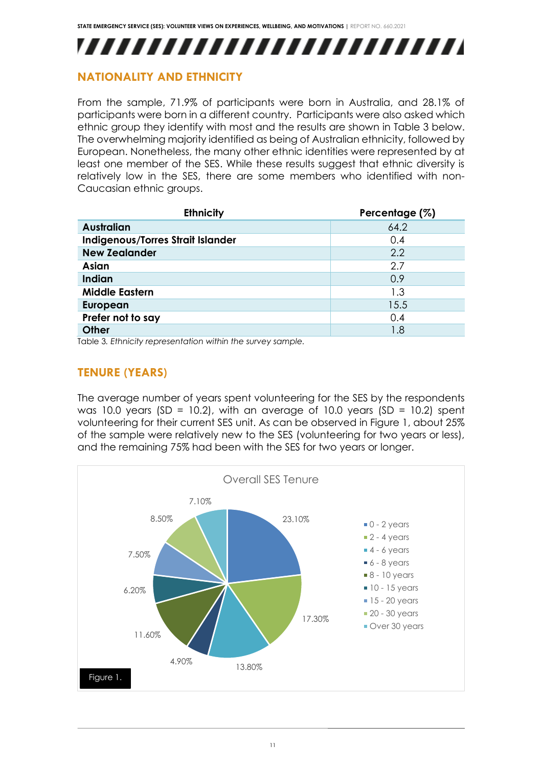## ,,,,,,,,,,,,,,,,,,,,,,,,,

### <span id="page-11-0"></span>**NATIONALITY AND ETHNICITY**

From the sample, 71.9% of participants were born in Australia, and 28.1% of participants were born in a different country. Participants were also asked which ethnic group they identify with most and the results are shown in Table 3 below. The overwhelming majority identified as being of Australian ethnicity, followed by European. Nonetheless, the many other ethnic identities were represented by at least one member of the SES. While these results suggest that ethnic diversity is relatively low in the SES, there are some members who identified with non-Caucasian ethnic groups.

| <b>Ethnicity</b>                  | Percentage (%) |
|-----------------------------------|----------------|
| Australian                        | 64.2           |
| Indigenous/Torres Strait Islander | 0.4            |
| <b>New Zealander</b>              | 2.2            |
| Asian                             | 2.7            |
| <b>Indian</b>                     | 0.9            |
| <b>Middle Eastern</b>             | 1.3            |
| <b>European</b>                   | 15.5           |
| Prefer not to say                 | 0.4            |
| <b>Other</b>                      | 1.8            |

<span id="page-11-1"></span>Table 3*. Ethnicity representation within the survey sample.*

## **TENURE (YEARS)**

The average number of years spent volunteering for the SES by the respondents was 10.0 years (SD = 10.2), with an average of 10.0 years (SD = 10.2) spent volunteering for their current SES unit. As can be observed in Figure 1, about 25% of the sample were relatively new to the SES (volunteering for two years or less), and the remaining 75% had been with the SES for two years or longer.

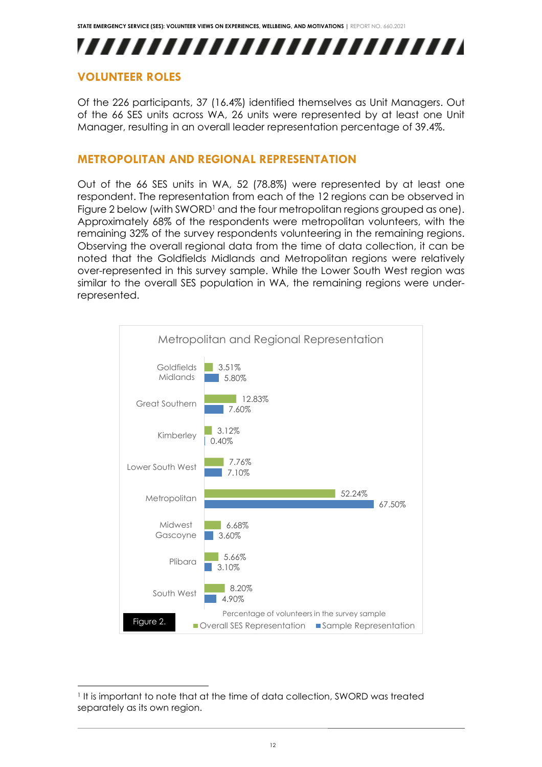## ,,,,,,,,,,,,,,,,,,,,,,,,,

### <span id="page-12-0"></span>**VOLUNTEER ROLES**

Of the 226 participants, 37 (16.4%) identified themselves as Unit Managers. Out of the 66 SES units across WA, 26 units were represented by at least one Unit Manager, resulting in an overall leader representation percentage of 39.4%.

#### <span id="page-12-1"></span>**METROPOLITAN AND REGIONAL REPRESENTATION**

Out of the 66 SES units in WA, 52 (78.8%) were represented by at least one respondent. The representation from each of the 12 regions can be observed in Figure 2 below (with SWORD<sup>1</sup> and the four metropolitan regions grouped as one). Approximately 68% of the respondents were metropolitan volunteers, with the remaining 32% of the survey respondents volunteering in the remaining regions. Observing the overall regional data from the time of data collection, it can be noted that the Goldfields Midlands and Metropolitan regions were relatively over-represented in this survey sample. While the Lower South West region was similar to the overall SES population in WA, the remaining regions were underrepresented.



<sup>1</sup> It is important to note that at the time of data collection, SWORD was treated separately as its own region.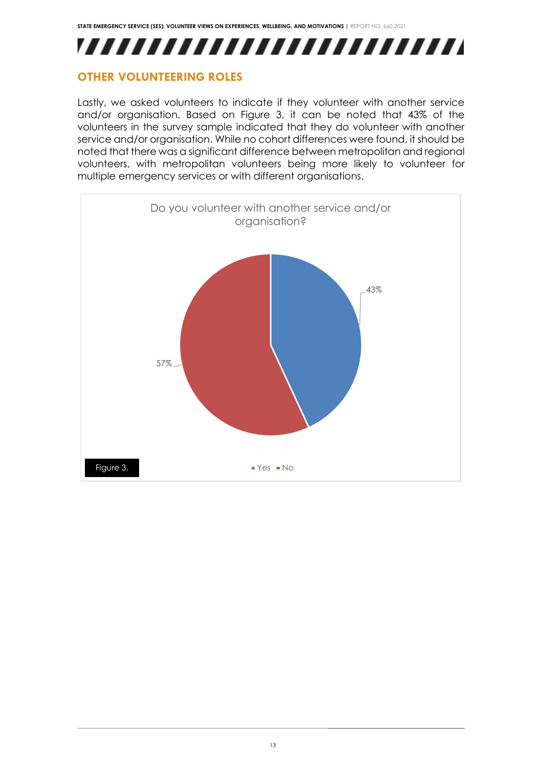

### <span id="page-13-0"></span>**OTHER VOLUNTEERING ROLES**

Lastly, we asked volunteers to indicate if they volunteer with another service and/or organisation. Based on Figure 3, it can be noted that 43% of the volunteers in the survey sample indicated that they do volunteer with another service and/or organisation. While no cohort differences were found, it should be noted that there was a significant difference between metropolitan and regional volunteers, with metropolitan volunteers being more likely to volunteer for multiple emergency services or with different organisations.

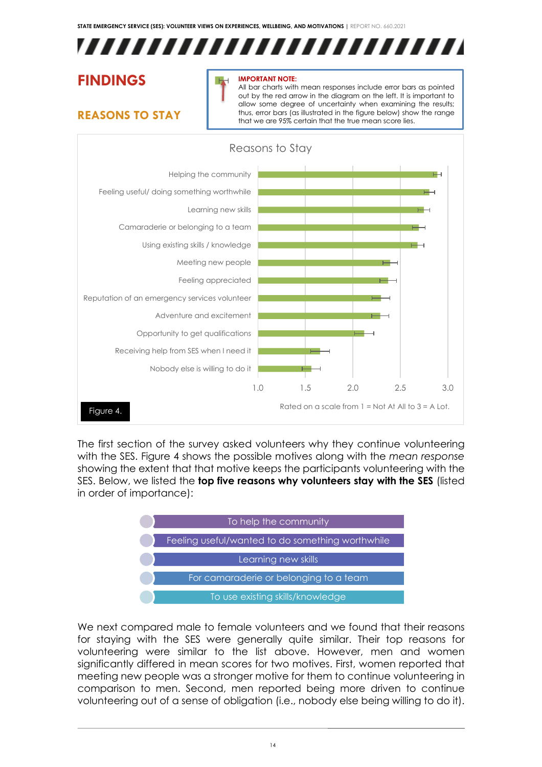

## <span id="page-14-0"></span>**FINDINGS**

## <span id="page-14-1"></span>**REASONS TO STAY**

#### **IMPORTANT NOTE:**

All bar charts with mean responses include error bars as pointed out by the red arrow in the diagram on the left. It is important to allow some degree of uncertainty when examining the results; thus, error bars (as illustrated in the figure below) show the range that we are 95% certain that the true mean score lies.



The first section of the survey asked volunteers why they continue volunteering with the SES. Figure 4 shows the possible motives along with the *mean response* showing the extent that that motive keeps the participants volunteering with the SES. Below, we listed the **top five reasons why volunteers stay with the SES** (listed in order of importance):



We next compared male to female volunteers and we found that their reasons for staying with the SES were generally quite similar. Their top reasons for volunteering were similar to the list above. However, men and women significantly differed in mean scores for two motives. First, women reported that meeting new people was a stronger motive for them to continue volunteering in comparison to men. Second, men reported being more driven to continue volunteering out of a sense of obligation (i.e., nobody else being willing to do it).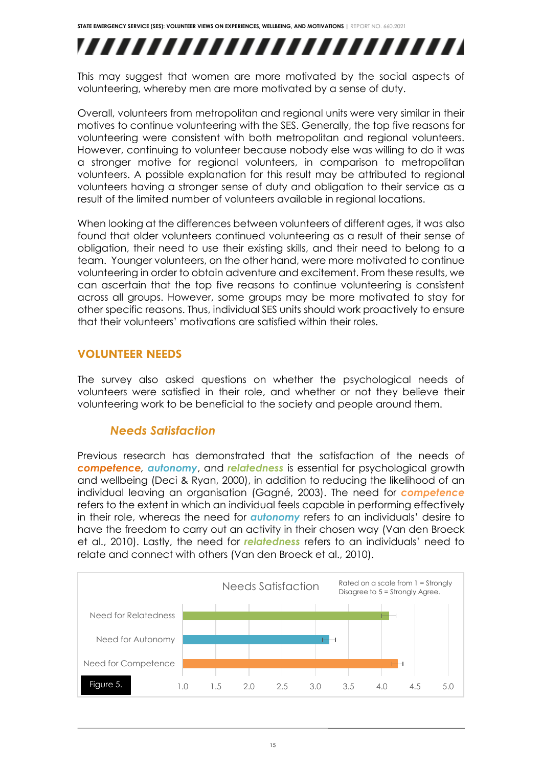## ,,,,,,,,,,,,,,,,,,,,,,,,,

This may suggest that women are more motivated by the social aspects of volunteering, whereby men are more motivated by a sense of duty.

Overall, volunteers from metropolitan and regional units were very similar in their motives to continue volunteering with the SES. Generally, the top five reasons for volunteering were consistent with both metropolitan and regional volunteers. However, continuing to volunteer because nobody else was willing to do it was a stronger motive for regional volunteers, in comparison to metropolitan volunteers. A possible explanation for this result may be attributed to regional volunteers having a stronger sense of duty and obligation to their service as a result of the limited number of volunteers available in regional locations.

When looking at the differences between volunteers of different ages, it was also found that older volunteers continued volunteering as a result of their sense of obligation, their need to use their existing skills, and their need to belong to a team. Younger volunteers, on the other hand, were more motivated to continue volunteering in order to obtain adventure and excitement. From these results, we can ascertain that the top five reasons to continue volunteering is consistent across all groups. However, some groups may be more motivated to stay for other specific reasons. Thus, individual SES units should work proactively to ensure that their volunteers' motivations are satisfied within their roles.

#### <span id="page-15-0"></span>**VOLUNTEER NEEDS**

The survey also asked questions on whether the psychological needs of volunteers were satisfied in their role, and whether or not they believe their volunteering work to be beneficial to the society and people around them.

### *Needs Satisfaction*

Previous research has demonstrated that the satisfaction of the needs of *competence, autonomy*, and *relatedness* is essential for psychological growth and wellbeing (Deci & Ryan, 2000), in addition to reducing the likelihood of an individual leaving an organisation (Gagné, 2003). The need for *competence* refers to the extent in which an individual feels capable in performing effectively in their role, whereas the need for *autonomy* refers to an individuals' desire to have the freedom to carry out an activity in their chosen way (Van den Broeck et al., 2010). Lastly, the need for *relatedness* refers to an individuals' need to relate and connect with others (Van den Broeck et al., 2010).

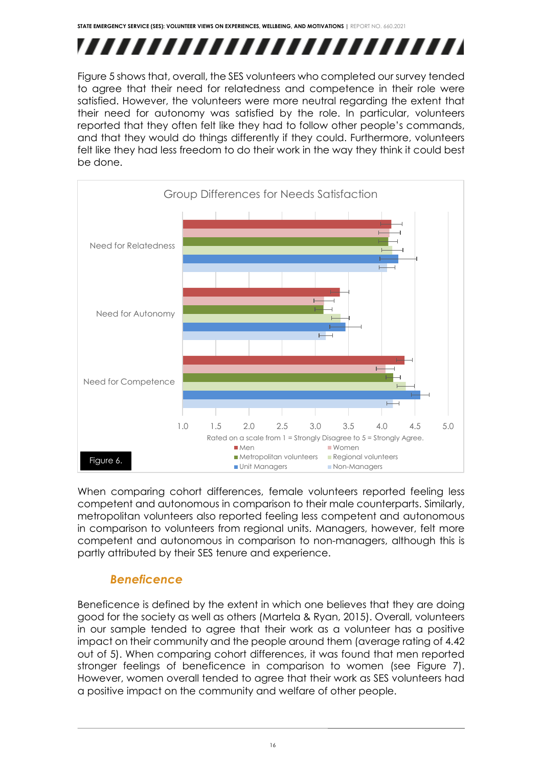## ,,,,,,,,,,,,,,,,,,,,,,,,,

Figure 5 shows that, overall, the SES volunteers who completed our survey tended to agree that their need for relatedness and competence in their role were satisfied. However, the volunteers were more neutral regarding the extent that their need for autonomy was satisfied by the role. In particular, volunteers reported that they often felt like they had to follow other people's commands, and that they would do things differently if they could. Furthermore, volunteers felt like they had less freedom to do their work in the way they think it could best be done.



When comparing cohort differences, female volunteers reported feeling less competent and autonomous in comparison to their male counterparts. Similarly, metropolitan volunteers also reported feeling less competent and autonomous in comparison to volunteers from regional units. Managers, however, felt more competent and autonomous in comparison to non-managers, although this is partly attributed by their SES tenure and experience.

## *Beneficence*

Beneficence is defined by the extent in which one believes that they are doing good for the society as well as others (Martela & Ryan, 2015). Overall, volunteers in our sample tended to agree that their work as a volunteer has a positive impact on their community and the people around them (average rating of 4.42 out of 5). When comparing cohort differences, it was found that men reported stronger feelings of beneficence in comparison to women (see Figure 7). However, women overall tended to agree that their work as SES volunteers had a positive impact on the community and welfare of other people.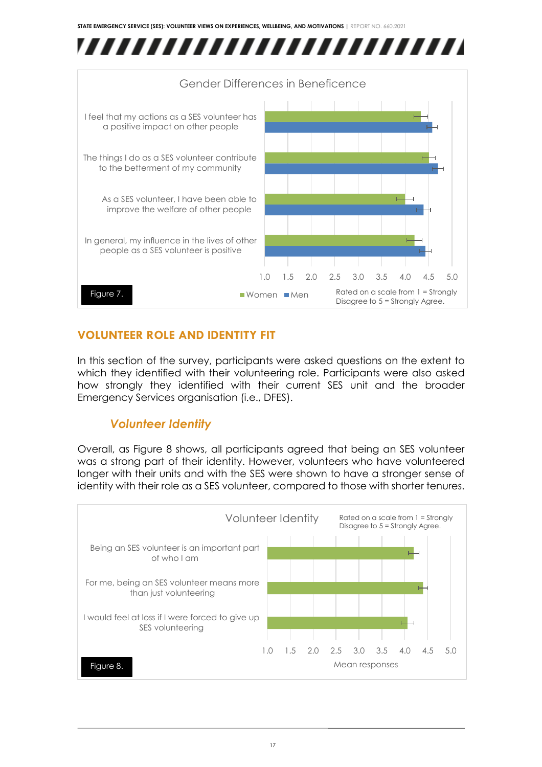



## <span id="page-17-0"></span>**VOLUNTEER ROLE AND IDENTITY FIT**

In this section of the survey, participants were asked questions on the extent to which they identified with their volunteering role. Participants were also asked how strongly they identified with their current SES unit and the broader Emergency Services organisation (i.e., DFES).

## *Volunteer Identity*

Overall, as Figure 8 shows, all participants agreed that being an SES volunteer was a strong part of their identity. However, volunteers who have volunteered longer with their units and with the SES were shown to have a stronger sense of identity with their role as a SES volunteer, compared to those with shorter tenures.

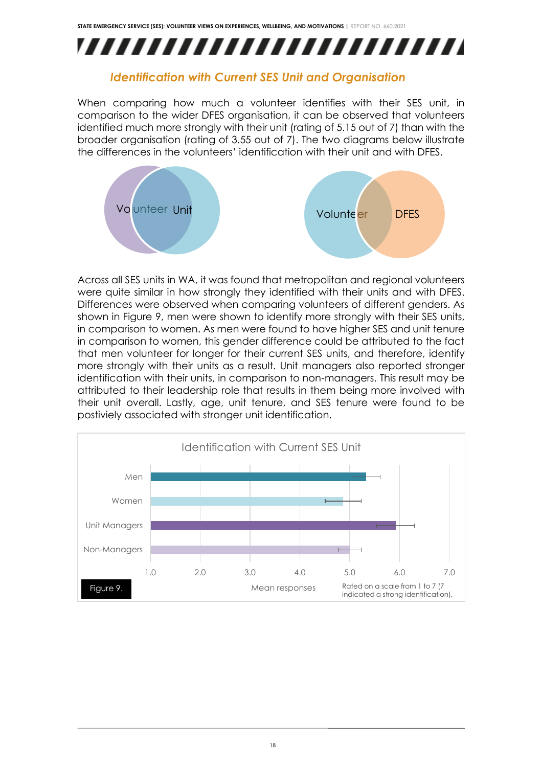

### *Identification with Current SES Unit and Organisation*

When comparing how much a volunteer identifies with their SES unit, in comparison to the wider DFES organisation, it can be observed that volunteers identified much more strongly with their unit (rating of 5.15 out of 7) than with the broader organisation (rating of 3.55 out of 7). The two diagrams below illustrate the differences in the volunteers' identification with their unit and with DFES.



Across all SES units in WA, it was found that metropolitan and regional volunteers were quite similar in how strongly they identified with their units and with DFES. Differences were observed when comparing volunteers of different genders. As shown in Figure 9, men were shown to identify more strongly with their SES units, in comparison to women. As men were found to have higher SES and unit tenure in comparison to women, this gender difference could be attributed to the fact that men volunteer for longer for their current SES units, and therefore, identify more strongly with their units as a result. Unit managers also reported stronger identification with their units, in comparison to non-managers. This result may be attributed to their leadership role that results in them being more involved with their unit overall. Lastly, age, unit tenure, and SES tenure were found to be postiviely associated with stronger unit identification.

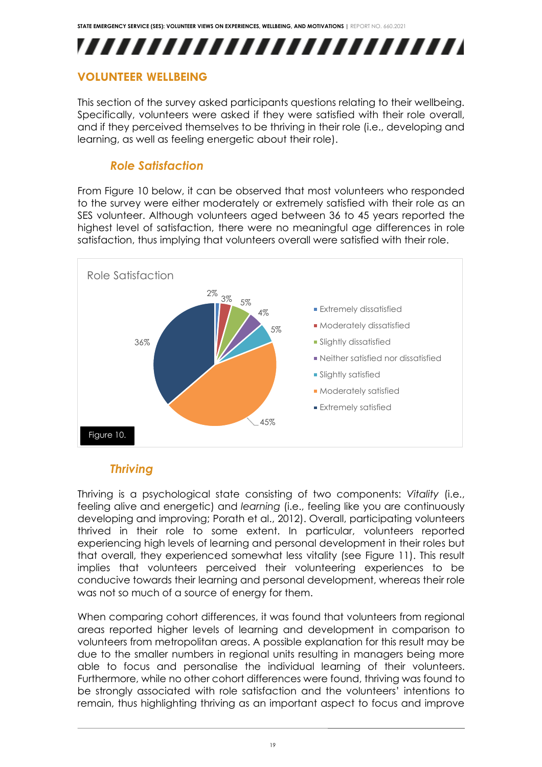## ,,,,,,,,,,,,,,,,,,,,,,,,,

## <span id="page-19-0"></span>**VOLUNTEER WELLBEING**

This section of the survey asked participants questions relating to their wellbeing. Specifically, volunteers were asked if they were satisfied with their role overall, and if they perceived themselves to be thriving in their role (i.e., developing and learning, as well as feeling energetic about their role).

## *Role Satisfaction*

From Figure 10 below, it can be observed that most volunteers who responded to the survey were either moderately or extremely satisfied with their role as an SES volunteer. Although volunteers aged between 36 to 45 years reported the highest level of satisfaction, there were no meaningful age differences in role satisfaction, thus implying that volunteers overall were satisfied with their role.



## *Thriving*

Thriving is a psychological state consisting of two components: *Vitality* (i.e., feeling alive and energetic) and *learning* (i.e., feeling like you are continuously developing and improving; Porath et al., 2012). Overall, participating volunteers thrived in their role to some extent. In particular, volunteers reported experiencing high levels of learning and personal development in their roles but that overall, they experienced somewhat less vitality (see Figure 11). This result implies that volunteers perceived their volunteering experiences to be conducive towards their learning and personal development, whereas their role was not so much of a source of energy for them.

When comparing cohort differences, it was found that volunteers from regional areas reported higher levels of learning and development in comparison to volunteers from metropolitan areas. A possible explanation for this result may be due to the smaller numbers in regional units resulting in managers being more able to focus and personalise the individual learning of their volunteers. Furthermore, while no other cohort differences were found, thriving was found to be strongly associated with role satisfaction and the volunteers' intentions to remain, thus highlighting thriving as an important aspect to focus and improve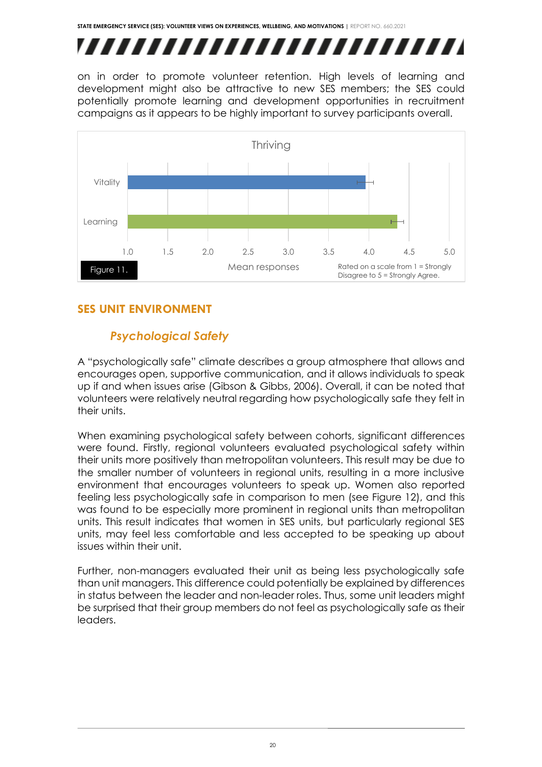# ,,,,,,,,,,,,,,,,,,,,,,,,,,

on in order to promote volunteer retention. High levels of learning and development might also be attractive to new SES members; the SES could potentially promote learning and development opportunities in recruitment campaigns as it appears to be highly important to survey participants overall.



## <span id="page-20-0"></span>**SES UNIT ENVIRONMENT**

## *Psychological Safety*

A "psychologically safe" climate describes a group atmosphere that allows and encourages open, supportive communication, and it allows individuals to speak up if and when issues arise (Gibson & Gibbs, 2006). Overall, it can be noted that volunteers were relatively neutral regarding how psychologically safe they felt in their units.

When examining psychological safety between cohorts, significant differences were found. Firstly, regional volunteers evaluated psychological safety within their units more positively than metropolitan volunteers. This result may be due to the smaller number of volunteers in regional units, resulting in a more inclusive environment that encourages volunteers to speak up. Women also reported feeling less psychologically safe in comparison to men (see Figure 12), and this was found to be especially more prominent in regional units than metropolitan units. This result indicates that women in SES units, but particularly regional SES units, may feel less comfortable and less accepted to be speaking up about issues within their unit.

Further, non-managers evaluated their unit as being less psychologically safe than unit managers. This difference could potentially be explained by differences in status between the leader and non-leader roles. Thus, some unit leaders might be surprised that their group members do not feel as psychologically safe as their leaders.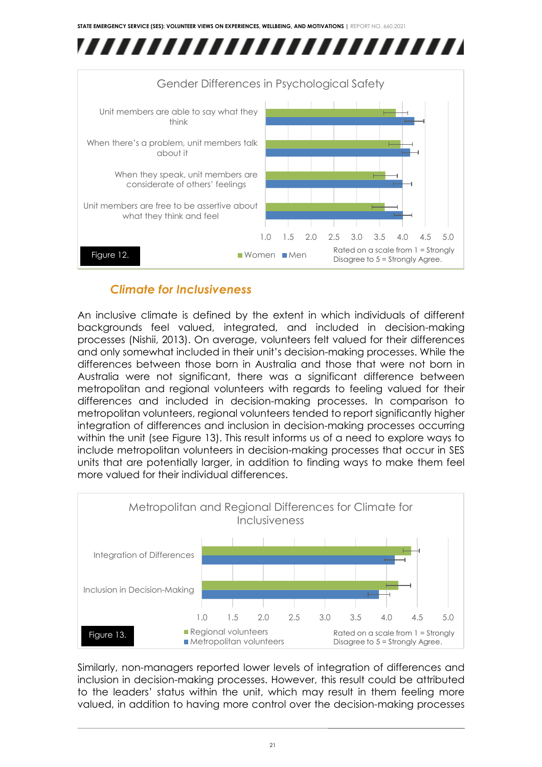

### *Climate for Inclusiveness*

An inclusive climate is defined by the extent in which individuals of different backgrounds feel valued, integrated, and included in decision-making processes (Nishii, 2013). On average, volunteers felt valued for their differences and only somewhat included in their unit's decision-making processes. While the differences between those born in Australia and those that were not born in Australia were not significant, there was a significant difference between metropolitan and regional volunteers with regards to feeling valued for their differences and included in decision-making processes. In comparison to metropolitan volunteers, regional volunteers tended to report significantly higher integration of differences and inclusion in decision-making processes occurring within the unit (see Figure 13). This result informs us of a need to explore ways to include metropolitan volunteers in decision-making processes that occur in SES units that are potentially larger, in addition to finding ways to make them feel more valued for their individual differences.



Similarly, non-managers reported lower levels of integration of differences and inclusion in decision-making processes. However, this result could be attributed to the leaders' status within the unit, which may result in them feeling more valued, in addition to having more control over the decision-making processes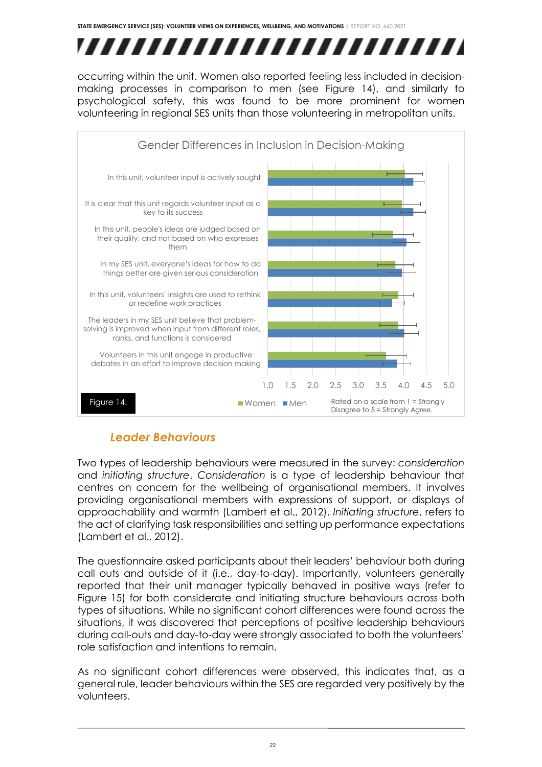# ,,,,,,,,,,,,,,,,,,,,,,,,,,

occurring within the unit. Women also reported feeling less included in decisionmaking processes in comparison to men (see Figure 14), and similarly to psychological safety, this was found to be more prominent for women volunteering in regional SES units than those volunteering in metropolitan units.



## *Leader Behaviours*

Two types of leadership behaviours were measured in the survey: *consideration* and *initiating structure*. *Consideration* is a type of leadership behaviour that centres on concern for the wellbeing of organisational members. It involves providing organisational members with expressions of support, or displays of approachability and warmth (Lambert et al., 2012). *Initiating structure*, refers to the act of clarifying task responsibilities and setting up performance expectations (Lambert et al., 2012).

The questionnaire asked participants about their leaders' behaviour both during call outs and outside of it (i.e., day-to-day). Importantly, volunteers generally reported that their unit manager typically behaved in positive ways (refer to Figure 15) for both considerate and initiating structure behaviours across both types of situations. While no significant cohort differences were found across the situations, it was discovered that perceptions of positive leadership behaviours during call-outs and day-to-day were strongly associated to both the volunteers' role satisfaction and intentions to remain.

As no significant cohort differences were observed, this indicates that, as a general rule, leader behaviours within the SES are regarded very positively by the volunteers.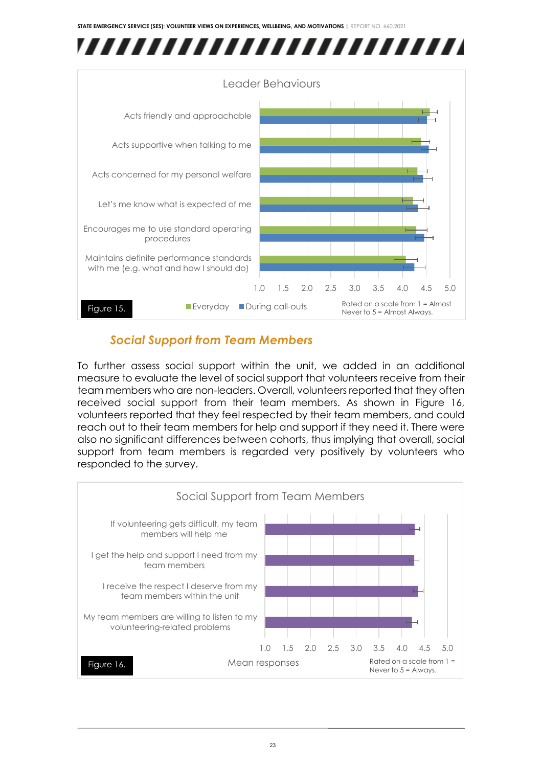



## *Social Support from Team Members*

To further assess social support within the unit, we added in an additional measure to evaluate the level of social support that volunteers receive from their team members who are non-leaders. Overall, volunteers reported that they often received social support from their team members. As shown in Figure 16, volunteers reported that they feel respected by their team members, and could reach out to their team members for help and support if they need it. There were also no significant differences between cohorts, thus implying that overall, social support from team members is regarded very positively by volunteers who responded to the survey.

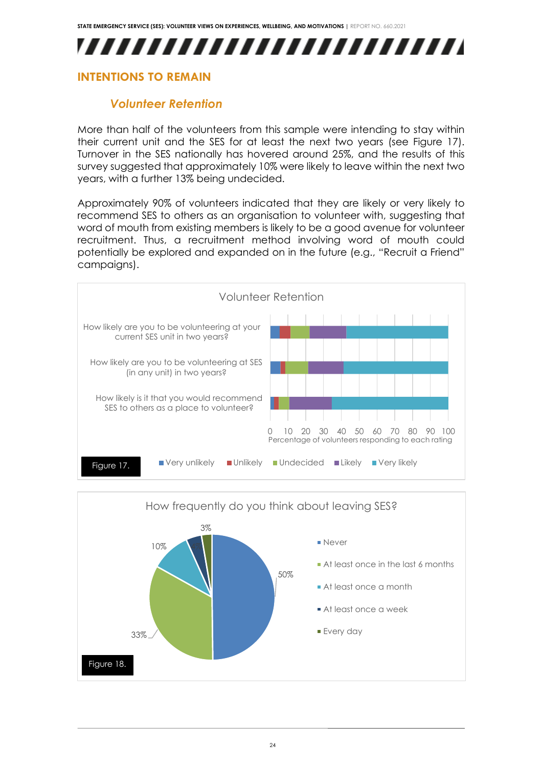## ,,,,,,,,,,,,,,,,,,,,,,,,,

## <span id="page-24-0"></span>**INTENTIONS TO REMAIN**

## *Volunteer Retention*

More than half of the volunteers from this sample were intending to stay within their current unit and the SES for at least the next two years (see Figure 17). Turnover in the SES nationally has hovered around 25%, and the results of this survey suggested that approximately 10% were likely to leave within the next two years, with a further 13% being undecided.

Approximately 90% of volunteers indicated that they are likely or very likely to recommend SES to others as an organisation to volunteer with, suggesting that word of mouth from existing members is likely to be a good avenue for volunteer recruitment. Thus, a recruitment method involving word of mouth could potentially be explored and expanded on in the future (e.g., "Recruit a Friend" campaigns).



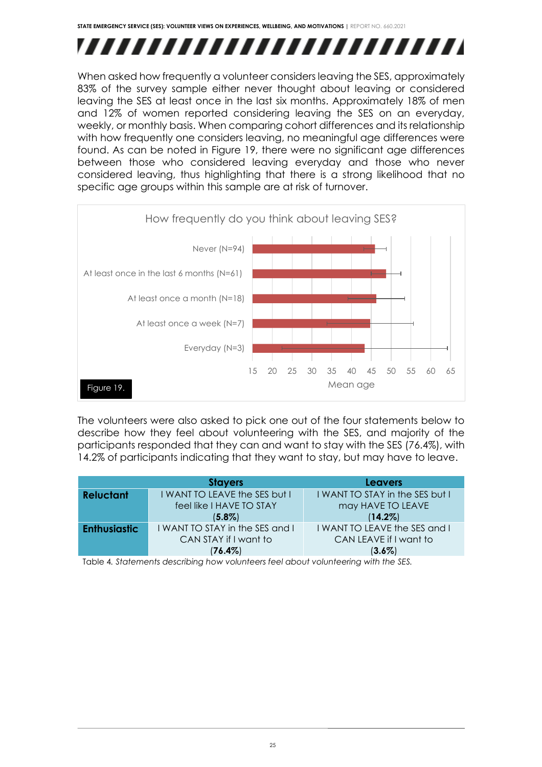## ,,,,,,,,,,,,,,,,,,,,,,,,,,

When asked how frequently a volunteer considers leaving the SES, approximately 83% of the survey sample either never thought about leaving or considered leaving the SES at least once in the last six months. Approximately 18% of men and 12% of women reported considering leaving the SES on an everyday, weekly, or monthly basis. When comparing cohort differences and its relationship with how frequently one considers leaving, no meaningful age differences were found. As can be noted in Figure 19, there were no significant age differences between those who considered leaving everyday and those who never considered leaving, thus highlighting that there is a strong likelihood that no specific age groups within this sample are at risk of turnover.



The volunteers were also asked to pick one out of the four statements below to describe how they feel about volunteering with the SES, and majority of the participants responded that they can and want to stay with the SES (76.4%), with 14.2% of participants indicating that they want to stay, but may have to leave.

|                     | <b>Stayers</b>                                                                                         | <b>Leavers</b>                  |
|---------------------|--------------------------------------------------------------------------------------------------------|---------------------------------|
| <b>Reluctant</b>    | I WANT TO LEAVE the SES but I                                                                          | I WANT TO STAY in the SES but I |
|                     | feel like I HAVE TO STAY                                                                               | may HAVE TO LEAVE               |
|                     | $(5.8\%)$                                                                                              | $(14.2\%)$                      |
| <b>Enthusiastic</b> | I WANT TO STAY in the SES and I                                                                        | I WANT TO LEAVE the SES and I   |
|                     | CAN STAY if I want to                                                                                  | CAN LEAVE if I want to          |
|                     | $(76.4\%)$                                                                                             | $(3.6\%)$                       |
|                     | Tailet at Alexandria and alexandria and according to all and and controlled and and according the APP. |                                 |

Table 4*. Statements describing how volunteers feel about volunteering with the SES.*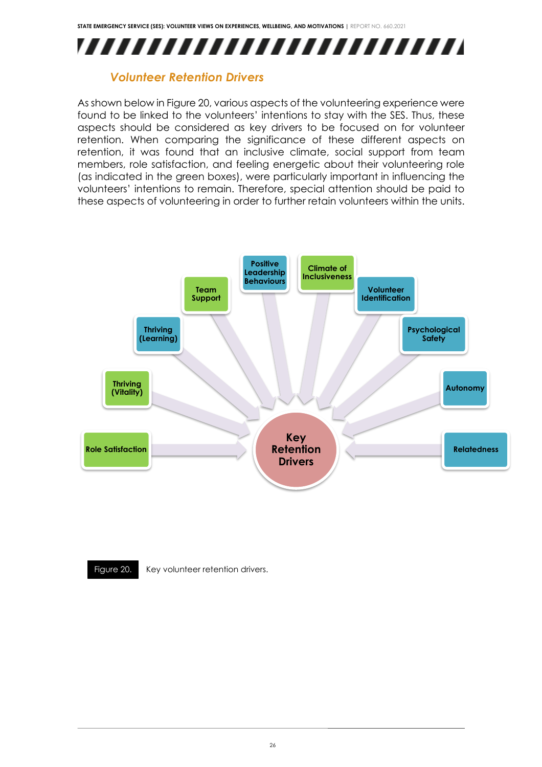

#### *Volunteer Retention Drivers*

As shown below in Figure 20, various aspects of the volunteering experience were found to be linked to the volunteers' intentions to stay with the SES. Thus, these aspects should be considered as key drivers to be focused on for volunteer retention. When comparing the significance of these different aspects on retention, it was found that an inclusive climate, social support from team members, role satisfaction, and feeling energetic about their volunteering role (as indicated in the green boxes), were particularly important in influencing the volunteers' intentions to remain. Therefore, special attention should be paid to these aspects of volunteering in order to further retain volunteers within the units.





Figure 20. Key volunteer retention drivers.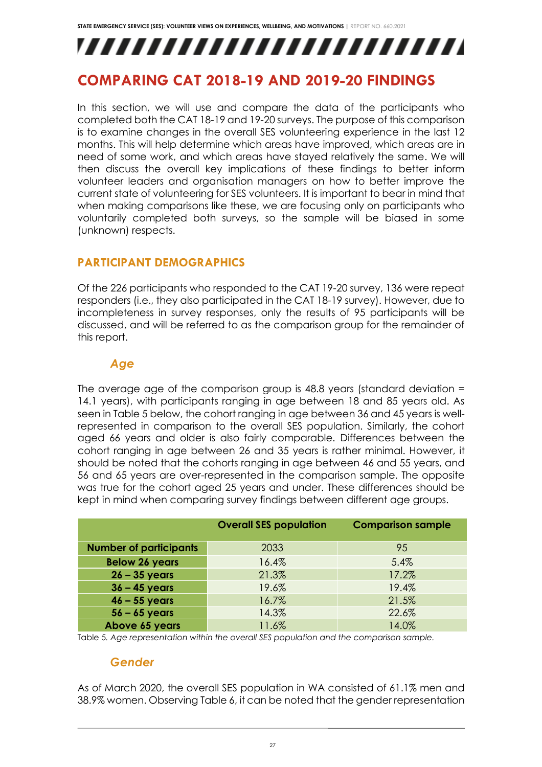# ,,,,,,,,,,,,,,,,,,,,,,,,,,

## <span id="page-27-0"></span>**COMPARING CAT 2018-19 AND 2019-20 FINDINGS**

In this section, we will use and compare the data of the participants who completed both the CAT 18-19 and 19-20 surveys. The purpose of this comparison is to examine changes in the overall SES volunteering experience in the last 12 months. This will help determine which areas have improved, which areas are in need of some work, and which areas have stayed relatively the same. We will then discuss the overall key implications of these findings to better inform volunteer leaders and organisation managers on how to better improve the current state of volunteering for SES volunteers. It is important to bear in mind that when making comparisons like these, we are focusing only on participants who voluntarily completed both surveys, so the sample will be biased in some (unknown) respects.

### <span id="page-27-1"></span>**PARTICIPANT DEMOGRAPHICS**

Of the 226 participants who responded to the CAT 19-20 survey, 136 were repeat responders (i.e., they also participated in the CAT 18-19 survey). However, due to incompleteness in survey responses, only the results of 95 participants will be discussed, and will be referred to as the comparison group for the remainder of this report.

#### *Age*

The average age of the comparison group is 48.8 years (standard deviation = 14.1 years), with participants ranging in age between 18 and 85 years old. As seen in Table 5 below, the cohort ranging in age between 36 and 45 years is wellrepresented in comparison to the overall SES population. Similarly, the cohort aged 66 years and older is also fairly comparable. Differences between the cohort ranging in age between 26 and 35 years is rather minimal. However, it should be noted that the cohorts ranging in age between 46 and 55 years, and 56 and 65 years are over-represented in the comparison sample. The opposite was true for the cohort aged 25 years and under. These differences should be kept in mind when comparing survey findings between different age groups.

|                               | <b>Overall SES population</b> | <b>Comparison sample</b> |
|-------------------------------|-------------------------------|--------------------------|
| <b>Number of participants</b> | 2033                          | 95                       |
| <b>Below 26 years</b>         | 16.4%                         | 5.4%                     |
| $26 - 35$ years               | 21.3%                         | 17.2%                    |
| $36 - 45$ years               | 19.6%                         | 19.4%                    |
| $46 - 55$ years               | 16.7%                         | 21.5%                    |
| $56 - 65$ years               | 14.3%                         | 22.6%                    |
| Above 65 years                | 11.6%                         | 14.0%                    |

Table 5*. Age representation within the overall SES population and the comparison sample.*

#### *Gender*

As of March 2020, the overall SES population in WA consisted of 61.1% men and 38.9% women. Observing Table 6, it can be noted that the gender representation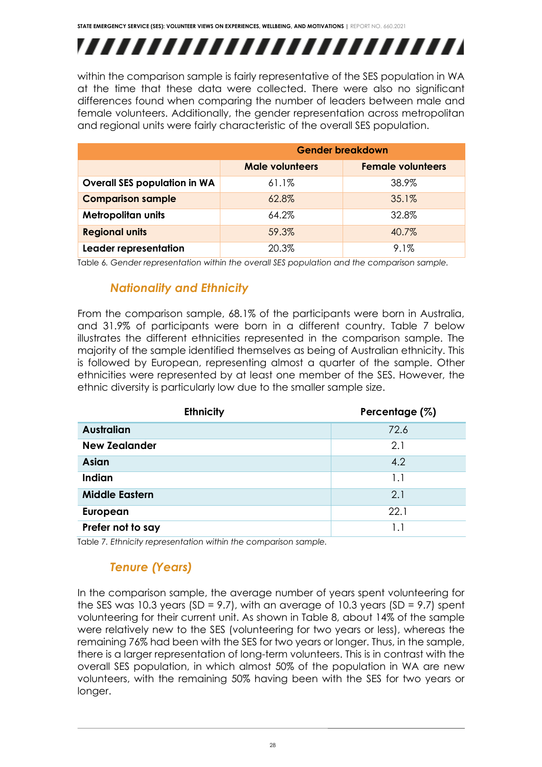# ,,,,,,,,,,,,,,,,,,,,,,,,,,

within the comparison sample is fairly representative of the SES population in WA at the time that these data were collected. There were also no significant differences found when comparing the number of leaders between male and female volunteers. Additionally, the gender representation across metropolitan and regional units were fairly characteristic of the overall SES population.

|                                     | <b>Gender breakdown</b>                            |       |  |
|-------------------------------------|----------------------------------------------------|-------|--|
|                                     | <b>Female volunteers</b><br><b>Male volunteers</b> |       |  |
| <b>Overall SES population in WA</b> | $61.1\%$                                           | 38.9% |  |
| <b>Comparison sample</b>            | 62.8%                                              | 35.1% |  |
| <b>Metropolitan units</b>           | 64.2%                                              | 32.8% |  |
| <b>Regional units</b>               | 59.3%                                              | 40.7% |  |
| Leader representation               | 20.3%                                              | 9.1%  |  |

Table 6. Gender representation within the overall SES population and the comparison sample.

### *Nationality and Ethnicity*

From the comparison sample, 68.1% of the participants were born in Australia, and 31.9% of participants were born in a different country. Table 7 below illustrates the different ethnicities represented in the comparison sample. The majority of the sample identified themselves as being of Australian ethnicity. This is followed by European, representing almost a quarter of the sample. Other ethnicities were represented by at least one member of the SES. However, the ethnic diversity is particularly low due to the smaller sample size.

| <b>Ethnicity</b>      | Percentage (%) |
|-----------------------|----------------|
| <b>Australian</b>     | 72.6           |
| <b>New Zealander</b>  | 2.1            |
| <b>Asian</b>          | 4.2            |
| <b>Indian</b>         | 1.1            |
| <b>Middle Eastern</b> | 2.1            |
| European              | 22.1           |
| Prefer not to say     | 11             |

Table 7*. Ethnicity representation within the comparison sample.*

## *Tenure (Years)*

In the comparison sample, the average number of years spent volunteering for the SES was 10.3 years (SD = 9.7), with an average of 10.3 years (SD = 9.7) spent volunteering for their current unit. As shown in Table 8, about 14% of the sample were relatively new to the SES (volunteering for two years or less), whereas the remaining 76% had been with the SES for two years or longer. Thus, in the sample, there is a larger representation of long-term volunteers. This is in contrast with the overall SES population, in which almost 50% of the population in WA are new volunteers, with the remaining 50% having been with the SES for two years or longer.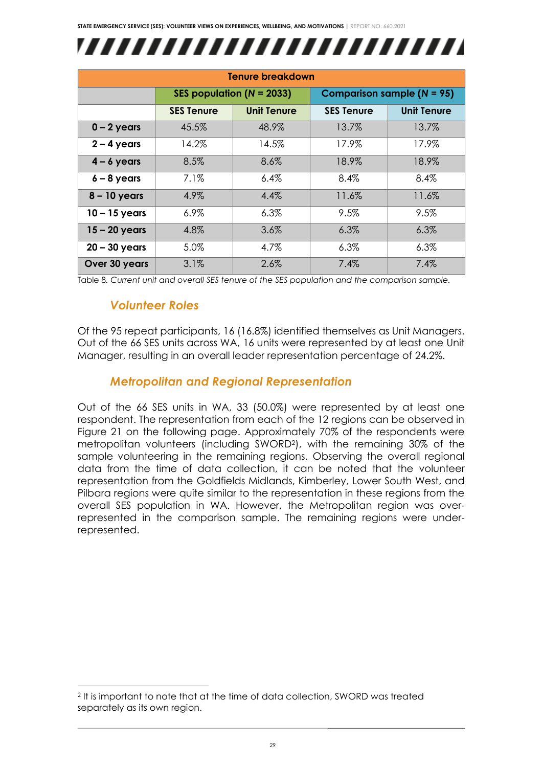

| <b>Tenure breakdown</b> |                               |                    |                                   |                    |
|-------------------------|-------------------------------|--------------------|-----------------------------------|--------------------|
|                         | SES population ( $N = 2033$ ) |                    | <b>Comparison sample (N = 95)</b> |                    |
|                         | <b>SES Tenure</b>             | <b>Unit Tenure</b> | <b>SES Tenure</b>                 | <b>Unit Tenure</b> |
| $0 - 2$ years           | 45.5%                         | 48.9%              | 13.7%                             | 13.7%              |
| $2 - 4$ years           | 14.2%                         | 14.5%              | 17.9%                             | 17.9%              |
| $4 - 6$ years           | 8.5%                          | 8.6%               | 18.9%                             | 18.9%              |
| $6 - 8$ years           | 7.1%                          | 6.4%               | 8.4%                              | 8.4%               |
| $8 - 10$ years          | 4.9%                          | 4.4%               | 11.6%                             | 11.6%              |
| $10 - 15$ years         | $6.9\%$                       | 6.3%               | 9.5%                              | 9.5%               |
| $15 - 20$ years         | 4.8%                          | 3.6%               | 6.3%                              | 6.3%               |
| $20 - 30$ years         | 5.0%                          | 4.7%               | 6.3%                              | 6.3%               |
| Over 30 years           | 3.1%                          | 2.6%               | 7.4%                              | 7.4%               |

Table 8*. Current unit and overall SES tenure of the SES population and the comparison sample.* 

#### *Volunteer Roles*

Of the 95 repeat participants, 16 (16.8%) identified themselves as Unit Managers. Out of the 66 SES units across WA, 16 units were represented by at least one Unit Manager, resulting in an overall leader representation percentage of 24.2%.

#### *Metropolitan and Regional Representation*

Out of the 66 SES units in WA, 33 (50.0%) were represented by at least one respondent. The representation from each of the 12 regions can be observed in Figure 21 on the following page. Approximately 70% of the respondents were metropolitan volunteers (including SWORD2), with the remaining 30% of the sample volunteering in the remaining regions. Observing the overall regional data from the time of data collection, it can be noted that the volunteer representation from the Goldfields Midlands, Kimberley, Lower South West, and Pilbara regions were quite similar to the representation in these regions from the overall SES population in WA. However, the Metropolitan region was overrepresented in the comparison sample. The remaining regions were underrepresented.

<sup>2</sup> It is important to note that at the time of data collection, SWORD was treated separately as its own region.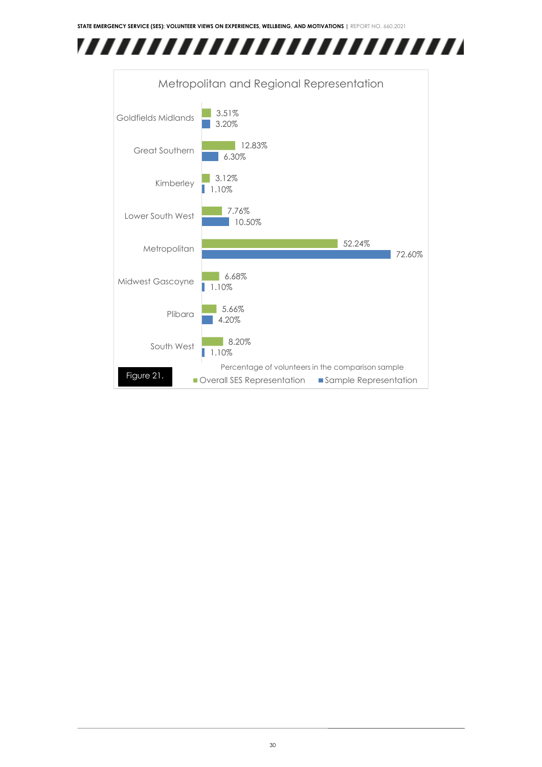

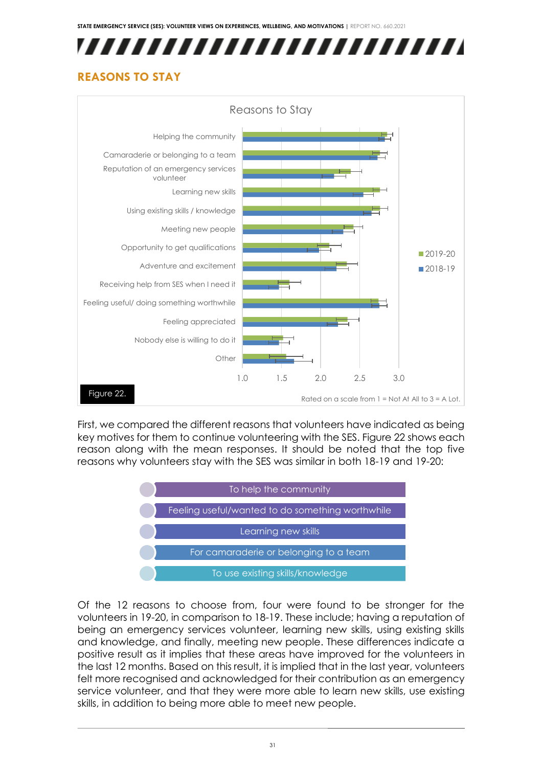# ,,,,,,,,,,,,,,,,,,,,,,,,,,

## <span id="page-31-0"></span>**REASONS TO STAY**



First, we compared the different reasons that volunteers have indicated as being key motives for them to continue volunteering with the SES. Figure 22 shows each reason along with the mean responses. It should be noted that the top five reasons why volunteers stay with the SES was similar in both 18-19 and 19-20:



Of the 12 reasons to choose from, four were found to be stronger for the volunteers in 19-20, in comparison to 18-19. These include; having a reputation of being an emergency services volunteer, learning new skills, using existing skills and knowledge, and finally, meeting new people. These differences indicate a positive result as it implies that these areas have improved for the volunteers in the last 12 months. Based on this result, it is implied that in the last year, volunteers felt more recognised and acknowledged for their contribution as an emergency service volunteer, and that they were more able to learn new skills, use existing skills, in addition to being more able to meet new people.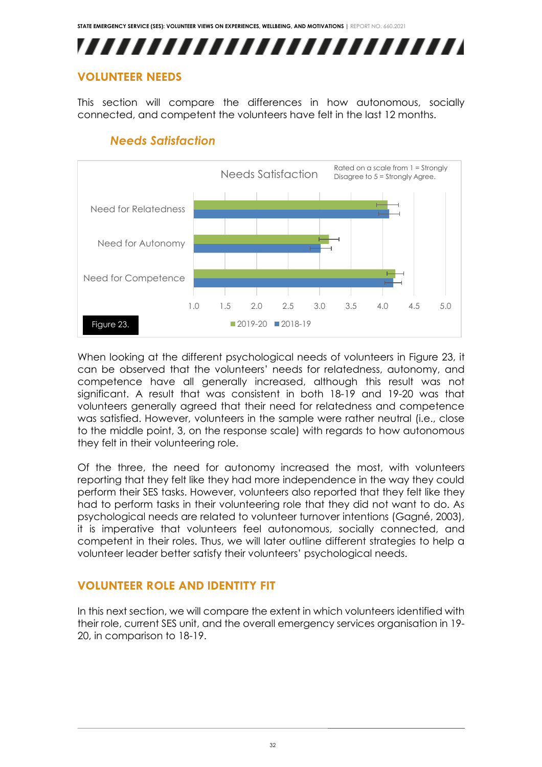## ,,,,,,,,,,,,,,,,,,,,,,,,,

### <span id="page-32-0"></span>**VOLUNTEER NEEDS**

This section will compare the differences in how autonomous, socially connected, and competent the volunteers have felt in the last 12 months.



## *Needs Satisfaction*

When looking at the different psychological needs of volunteers in Figure 23, it can be observed that the volunteers' needs for relatedness, autonomy, and competence have all generally increased, although this result was not significant. A result that was consistent in both 18-19 and 19-20 was that volunteers generally agreed that their need for relatedness and competence was satisfied. However, volunteers in the sample were rather neutral (i.e., close to the middle point, 3, on the response scale) with regards to how autonomous they felt in their volunteering role.

Of the three, the need for autonomy increased the most, with volunteers reporting that they felt like they had more independence in the way they could perform their SES tasks. However, volunteers also reported that they felt like they had to perform tasks in their volunteering role that they did not want to do. As psychological needs are related to volunteer turnover intentions (Gagné, 2003), it is imperative that volunteers feel autonomous, socially connected, and competent in their roles. Thus, we will later outline different strategies to help a volunteer leader better satisfy their volunteers' psychological needs.

## <span id="page-32-1"></span>**VOLUNTEER ROLE AND IDENTITY FIT**

In this next section, we will compare the extent in which volunteers identified with their role, current SES unit, and the overall emergency services organisation in 19- 20, in comparison to 18-19.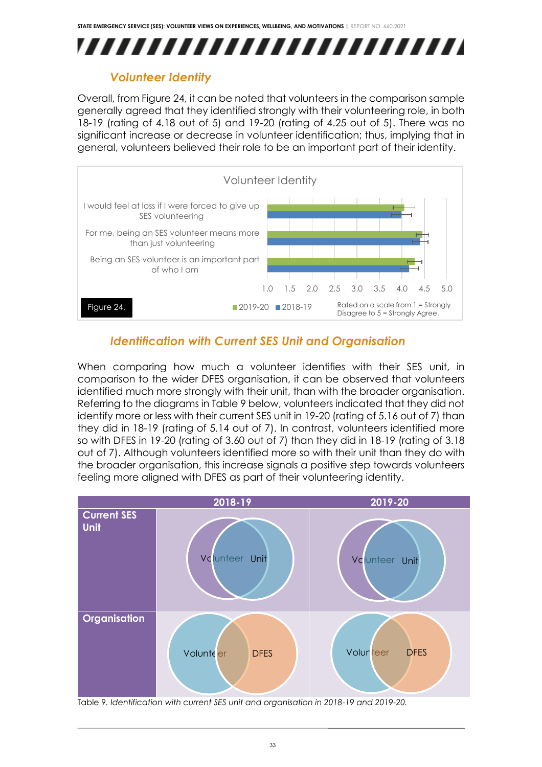

## *Volunteer Identity*

Overall, from Figure 24, it can be noted that volunteers in the comparison sample generally agreed that they identified strongly with their volunteering role, in both 18-19 (rating of 4.18 out of 5) and 19-20 (rating of 4.25 out of 5). There was no significant increase or decrease in volunteer identification; thus, implying that in general, volunteers believed their role to be an important part of their identity.



## *Identification with Current SES Unit and Organisation*

When comparing how much a volunteer identifies with their SES unit, in comparison to the wider DFES organisation, it can be observed that volunteers identified much more strongly with their unit, than with the broader organisation. Referring to the diagrams in Table 9 below, volunteers indicated that they did not identify more or less with their current SES unit in 19-20 (rating of 5.16 out of 7) than they did in 18-19 (rating of 5.14 out of 7). In contrast, volunteers identified more so with DFES in 19-20 (rating of 3.60 out of 7) than they did in 18-19 (rating of 3.18 out of 7). Although volunteers identified more so with their unit than they do with the broader organisation, this increase signals a positive step towards volunteers feeling more aligned with DFES as part of their volunteering identity.



Table 9*. Identification with current SES unit and organisation in 2018-19 and 2019-20.*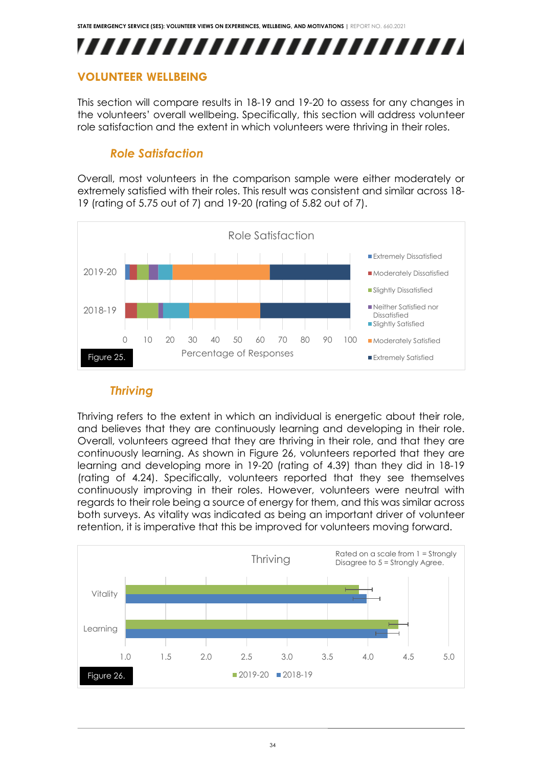## ,,,,,,,,,,,,,,,,,,,,,,,,,

### <span id="page-34-0"></span>**VOLUNTEER WELLBEING**

This section will compare results in 18-19 and 19-20 to assess for any changes in the volunteers' overall wellbeing. Specifically, this section will address volunteer role satisfaction and the extent in which volunteers were thriving in their roles.

## *Role Satisfaction*

Overall, most volunteers in the comparison sample were either moderately or extremely satisfied with their roles. This result was consistent and similar across 18- 19 (rating of 5.75 out of 7) and 19-20 (rating of 5.82 out of 7).



### *Thriving*

Thriving refers to the extent in which an individual is energetic about their role, and believes that they are continuously learning and developing in their role. Overall, volunteers agreed that they are thriving in their role, and that they are continuously learning. As shown in Figure 26, volunteers reported that they are learning and developing more in 19-20 (rating of 4.39) than they did in 18-19 (rating of 4.24). Specifically, volunteers reported that they see themselves continuously improving in their roles. However, volunteers were neutral with regards to their role being a source of energy for them, and this was similar across both surveys. As vitality was indicated as being an important driver of volunteer retention, it is imperative that this be improved for volunteers moving forward.

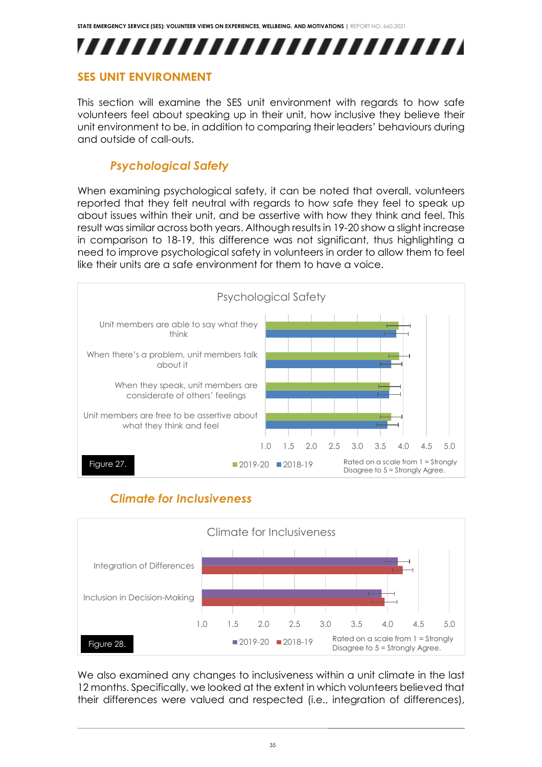

### <span id="page-35-0"></span>**SES UNIT ENVIRONMENT**

This section will examine the SES unit environment with regards to how safe volunteers feel about speaking up in their unit, how inclusive they believe their unit environment to be, in addition to comparing their leaders' behaviours during and outside of call-outs.

## *Psychological Safety*

When examining psychological safety, it can be noted that overall, volunteers reported that they felt neutral with regards to how safe they feel to speak up about issues within their unit, and be assertive with how they think and feel. This result was similar across both years. Although results in 19-20 show a slight increase in comparison to 18-19, this difference was not significant, thus highlighting a need to improve psychological safety in volunteers in order to allow them to feel like their units are a safe environment for them to have a voice.



## *Climate for Inclusiveness*



We also examined any changes to inclusiveness within a unit climate in the last 12 months. Specifically, we looked at the extent in which volunteers believed that their differences were valued and respected (i.e., integration of differences),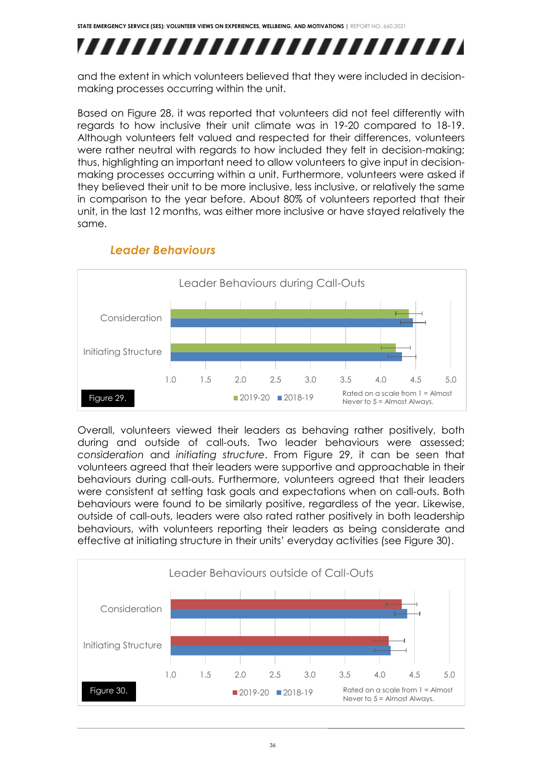## ,,,,,,,,,,,,,,,,,,,,,,,,,

and the extent in which volunteers believed that they were included in decisionmaking processes occurring within the unit.

Based on Figure 28, it was reported that volunteers did not feel differently with regards to how inclusive their unit climate was in 19-20 compared to 18-19. Although volunteers felt valued and respected for their differences, volunteers were rather neutral with regards to how included they felt in decision-making; thus, highlighting an important need to allow volunteers to give input in decisionmaking processes occurring within a unit. Furthermore, volunteers were asked if they believed their unit to be more inclusive, less inclusive, or relatively the same in comparison to the year before. About 80% of volunteers reported that their unit, in the last 12 months, was either more inclusive or have stayed relatively the same.



## *Leader Behaviours*

Overall, volunteers viewed their leaders as behaving rather positively, both during and outside of call-outs. Two leader behaviours were assessed; *consideration* and *initiating structure*. From Figure 29, it can be seen that volunteers agreed that their leaders were supportive and approachable in their behaviours during call-outs. Furthermore, volunteers agreed that their leaders were consistent at setting task goals and expectations when on call-outs. Both behaviours were found to be similarly positive, regardless of the year. Likewise, outside of call-outs, leaders were also rated rather positively in both leadership behaviours, with volunteers reporting their leaders as being considerate and effective at initiating structure in their units' everyday activities (see Figure 30).

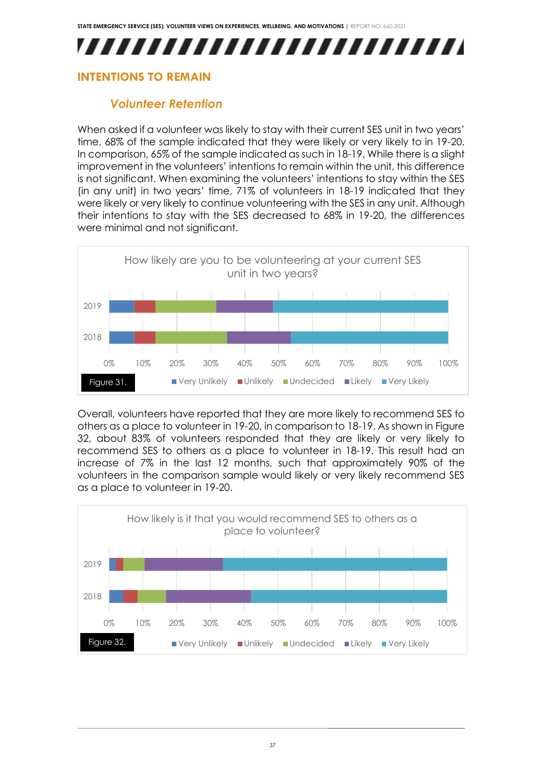## ,,,,,,,,,,,,,,,,,,,,,,,,,,

### <span id="page-37-0"></span>**INTENTIONS TO REMAIN**

## *Volunteer Retention*

When asked if a volunteer was likely to stay with their current SES unit in two years' time, 68% of the sample indicated that they were likely or very likely to in 19-20. In comparison, 65% of the sample indicated as such in 18-19. While there is a slight improvement in the volunteers' intentions to remain within the unit, this difference is not significant. When examining the volunteers' intentions to stay within the SES (in any unit) in two years' time, 71% of volunteers in 18-19 indicated that they were likely or very likely to continue volunteering with the SES in any unit. Although their intentions to stay with the SES decreased to 68% in 19-20, the differences were minimal and not significant.



Overall, volunteers have reported that they are more likely to recommend SES to others as a place to volunteer in 19-20, in comparison to 18-19. As shown in Figure 32, about 83% of volunteers responded that they are likely or very likely to recommend SES to others as a place to volunteer in 18-19. This result had an increase of 7% in the last 12 months, such that approximately 90% of the volunteers in the comparison sample would likely or very likely recommend SES as a place to volunteer in 19-20.

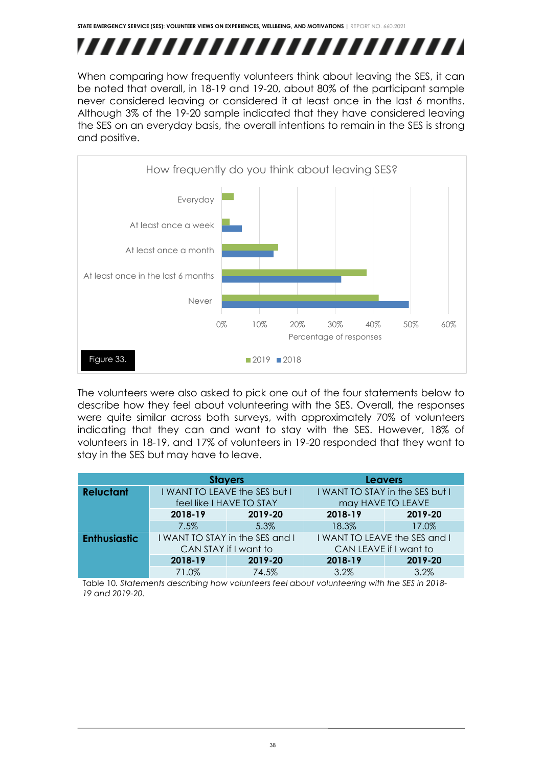## ,,,,,,,,,,,,,,,,,,,,,,,,,,

When comparing how frequently volunteers think about leaving the SES, it can be noted that overall, in 18-19 and 19-20, about 80% of the participant sample never considered leaving or considered it at least once in the last 6 months. Although 3% of the 19-20 sample indicated that they have considered leaving the SES on an everyday basis, the overall intentions to remain in the SES is strong and positive.



The volunteers were also asked to pick one out of the four statements below to describe how they feel about volunteering with the SES. Overall, the responses were quite similar across both surveys, with approximately 70% of volunteers indicating that they can and want to stay with the SES. However, 18% of volunteers in 18-19, and 17% of volunteers in 19-20 responded that they want to stay in the SES but may have to leave.

|                     | <b>Stayers</b>                                           |         | <b>Leavers</b>                  |         |
|---------------------|----------------------------------------------------------|---------|---------------------------------|---------|
| <b>Reluctant</b>    | I WANT TO LEAVE the SES but I                            |         | I WANT TO STAY in the SES but I |         |
|                     | feel like I HAVE TO STAY                                 |         | may HAVE TO LEAVE               |         |
|                     | 2018-19                                                  | 2019-20 | 2018-19                         | 2019-20 |
|                     | $7.5\%$                                                  | 5.3%    | 18.3%                           | 17.0%   |
| <b>Enthusiastic</b> | I WANT TO STAY in the SES and I<br>CAN STAY if I want to |         | I WANT TO LEAVE the SES and I   |         |
|                     |                                                          |         | CAN LEAVE if I want to          |         |
|                     | 2018-19                                                  | 2019-20 | 2018-19                         | 2019-20 |
|                     | 71.0%                                                    | 74.5%   | 3.2%                            | 3.2%    |

Table 10*. Statements describing how volunteers feel about volunteering with the SES in 2018- 19 and 2019-20.*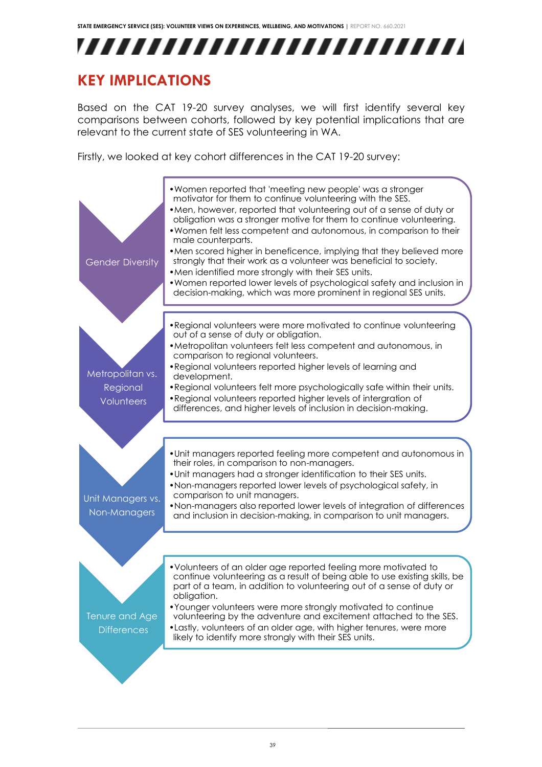## ,,,,,,,,,,,,,,,,,,,,,,,,,

## <span id="page-39-0"></span>**KEY IMPLICATIONS**

Based on the CAT 19-20 survey analyses, we will first identify several key comparisons between cohorts, followed by key potential implications that are relevant to the current state of SES volunteering in WA.

Firstly, we looked at key cohort differences in the CAT 19-20 survey:

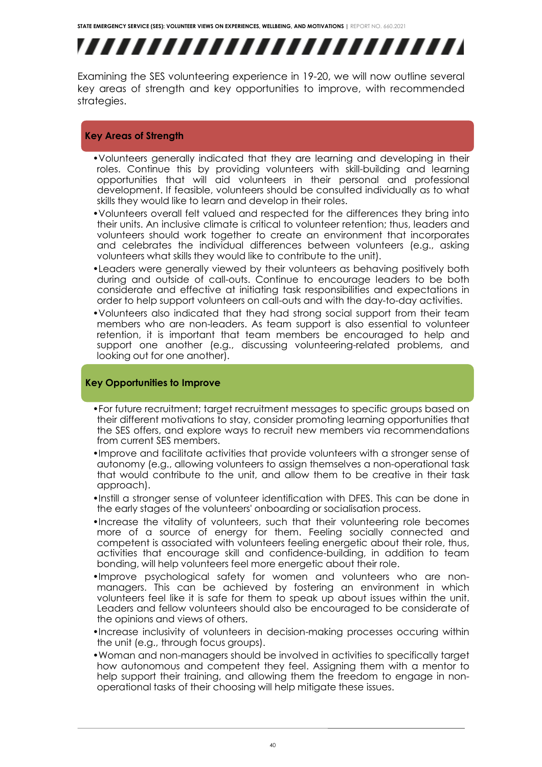# ,,,,,,,,,,,,,,,,,,,,,,,,,,

Examining the SES volunteering experience in 19-20, we will now outline several key areas of strength and key opportunities to improve, with recommended strategies.

#### **Key Areas of Strength**

- •Volunteers generally indicated that they are learning and developing in their roles. Continue this by providing volunteers with skill-building and learning opportunities that will aid volunteers in their personal and professional development. If feasible, volunteers should be consulted individually as to what skills they would like to learn and develop in their roles.
- •Volunteers overall felt valued and respected for the differences they bring into their units. An inclusive climate is critical to volunteer retention; thus, leaders and volunteers should work together to create an environment that incorporates and celebrates the individual differences between volunteers (e.g., asking volunteers what skills they would like to contribute to the unit).
- •Leaders were generally viewed by their volunteers as behaving positively both during and outside of call-outs. Continue to encourage leaders to be both considerate and effective at initiating task responsibilities and expectations in order to help support volunteers on call-outs and with the day-to-day activities.
- •Volunteers also indicated that they had strong social support from their team members who are non-leaders. As team support is also essential to volunteer retention, it is important that team members be encouraged to help and support one another (e.g., discussing volunteering-related problems, and looking out for one another).

#### **Key Opportunities to Improve**

- •For future recruitment; target recruitment messages to specific groups based on their different motivations to stay, consider promoting learning opportunities that the SES offers, and explore ways to recruit new members via recommendations from current SES members.
- •Improve and facilitate activities that provide volunteers with a stronger sense of autonomy (e.g., allowing volunteers to assign themselves a non-operational task that would contribute to the unit, and allow them to be creative in their task approach).
- •Instill a stronger sense of volunteer identification with DFES. This can be done in the early stages of the volunteers' onboarding or socialisation process.
- •Increase the vitality of volunteers, such that their volunteering role becomes more of a source of energy for them. Feeling socially connected and competent is associated with volunteers feeling energetic about their role, thus, activities that encourage skill and confidence-building, in addition to team bonding, will help volunteers feel more energetic about their role.
- •Improve psychological safety for women and volunteers who are nonmanagers. This can be achieved by fostering an environment in which volunteers feel like it is safe for them to speak up about issues within the unit. Leaders and fellow volunteers should also be encouraged to be considerate of the opinions and views of others.
- •Increase inclusivity of volunteers in decision-making processes occuring within the unit (e.g., through focus groups).
- •Woman and non-managers should be involved in activities to specifically target how autonomous and competent they feel. Assigning them with a mentor to help support their training, and allowing them the freedom to engage in nonoperational tasks of their choosing will help mitigate these issues.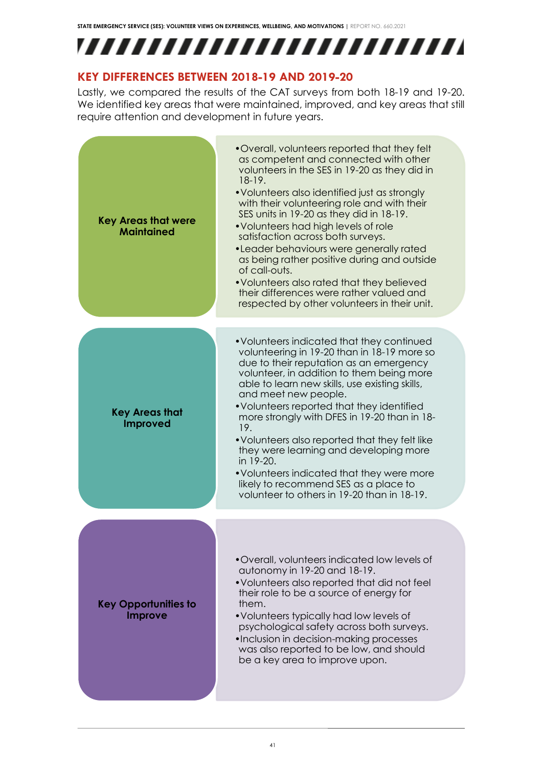## ,,,,,,,,,,,,,,,,,,,,,,,,,

### **KEY DIFFERENCES BETWEEN 2018-19 AND 2019-20**

Lastly, we compared the results of the CAT surveys from both 18-19 and 19-20. We identified key areas that were maintained, improved, and key areas that still require attention and development in future years.

| <b>Key Areas that were</b><br><b>Maintained</b> | • Overall, volunteers reported that they felt<br>as competent and connected with other<br>volunteers in the SES in 19-20 as they did in<br>$18-19.$<br>• Volunteers also identified just as strongly<br>with their volunteering role and with their<br>SES units in 19-20 as they did in 18-19.<br>• Volunteers had high levels of role<br>satisfaction across both surveys.<br>• Leader behaviours were generally rated<br>as being rather positive during and outside<br>of call-outs.<br>• Volunteers also rated that they believed<br>their differences were rather valued and<br>respected by other volunteers in their unit. |
|-------------------------------------------------|------------------------------------------------------------------------------------------------------------------------------------------------------------------------------------------------------------------------------------------------------------------------------------------------------------------------------------------------------------------------------------------------------------------------------------------------------------------------------------------------------------------------------------------------------------------------------------------------------------------------------------|
| <b>Key Areas that</b><br><b>Improved</b>        | • Volunteers indicated that they continued<br>volunteering in 19-20 than in 18-19 more so<br>due to their reputation as an emergency<br>volunteer, in addition to them being more<br>able to learn new skills, use existing skills,<br>and meet new people.<br>• Volunteers reported that they identified<br>more strongly with DFES in 19-20 than in 18-<br>19.<br>• Volunteers also reported that they felt like<br>they were learning and developing more<br>in 19-20.<br>• Volunteers indicated that they were more<br>likely to recommend SES as a place to<br>volunteer to others in 19-20 than in 18-19.                    |
| <b>Key Opportunities to</b><br>Improve          | •Overall, volunteers indicated low levels of<br>autonomy in 19-20 and 18-19.<br>• Volunteers also reported that did not feel<br>their role to be a source of energy for<br>them.<br>• Volunteers typically had low levels of<br>psychological safety across both surveys.<br>•Inclusion in decision-making processes<br>was also reported to be low, and should<br>be a key area to improve upon.                                                                                                                                                                                                                                  |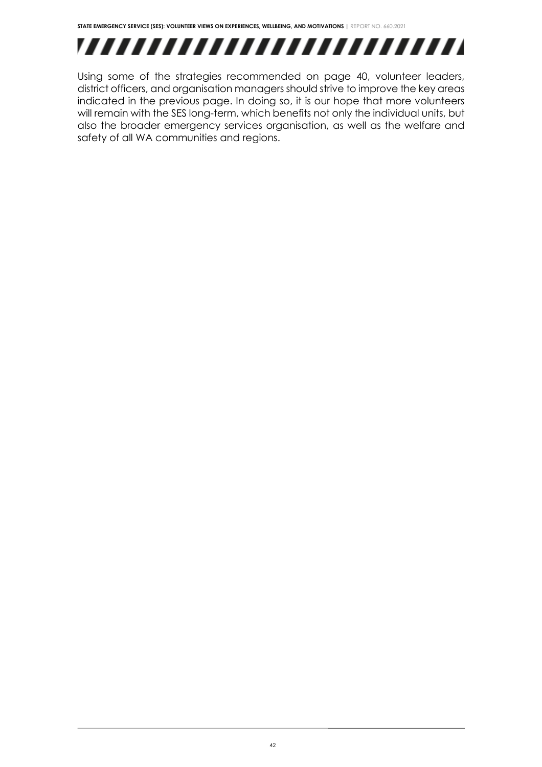## ,,,,,,,,,,,,,,,,,,,,,,,,,

Using some of the strategies recommended on page 40, volunteer leaders, district officers, and organisation managers should strive to improve the key areas indicated in the previous page. In doing so, it is our hope that more volunteers will remain with the SES long-term, which benefits not only the individual units, but also the broader emergency services organisation, as well as the welfare and safety of all WA communities and regions.